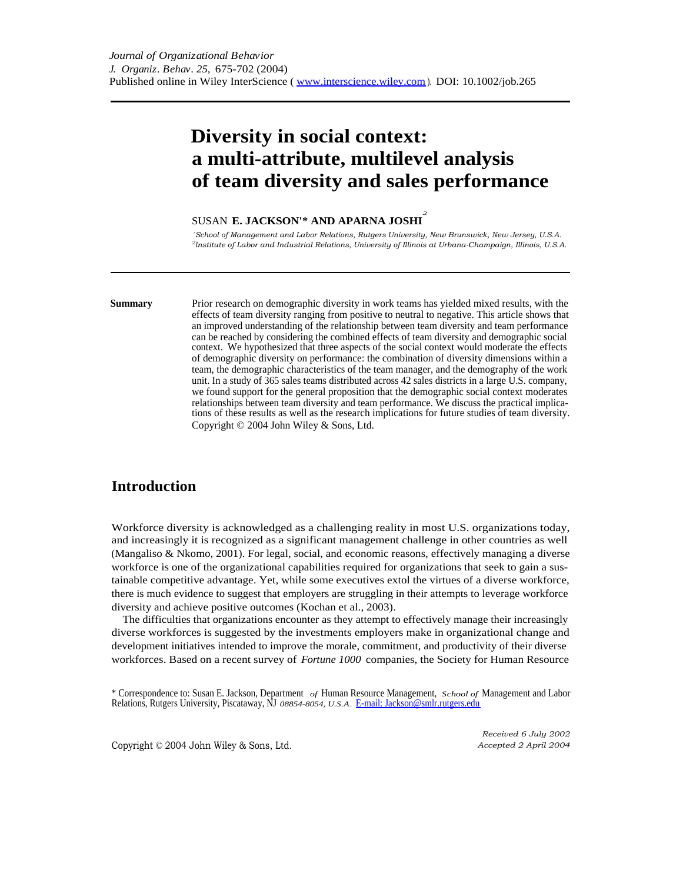# **Diversity in social context: a multi-attribute, multilevel analysis of team diversity and sales performance**

SUSAN **E. JACKSON'\* AND APARNA JOSHI** *2*

*' School of Management and Labor Relations, Rutgers University, New Brunswick, New Jersey, U.S.A. 2 lnstitute of Labor and Industrial Relations, University of Illinois at Urbana-Champaign, Illinois, U.S.A.*

**Summary** Prior research on demographic diversity in work teams has yielded mixed results, with the effects of team diversity ranging from positive to neutral to negative. This article shows that an improved understanding of the relationship between team diversity and team performance can be reached by considering the combined effects of team diversity and demographic social context. We hypothesized that three aspects of the social context would moderate the effects of demographic diversity on performance: the combination of diversity dimensions within a team, the demographic characteristics of the team manager, and the demography of the work unit. In a study of 365 sales teams distributed across 42 sales districts in a large U.S. company, we found support for the general proposition that the demographic social context moderates relationships between team diversity and team performance. We discuss the practical implications of these results as well as the research implications for future studies of team diversity. Copyright © 2004 John Wiley & Sons, Ltd.

# **Introduction**

Workforce diversity is acknowledged as a challenging reality in most U.S. organizations today, and increasingly it is recognized as a significant management challenge in other countries as well (Mangaliso & Nkomo, 2001). For legal, social, and economic reasons, effectively managing a diverse workforce is one of the organizational capabilities required for organizations that seek to gain a sustainable competitive advantage. Yet, while some executives extol the virtues of a diverse workforce, there is much evidence to suggest that employers are struggling in their attempts to leverage workforce diversity and achieve positive outcomes (Kochan et al., 2003).

The difficulties that organizations encounter as they attempt to effectively manage their increasingly diverse workforces is suggested by the investments employers make in organizational change and development initiatives intended to improve the morale, commitment, and productivity of their diverse workforces. Based on a recent survey of *Fortune 1000* companies, the Society for Human Resource

\* Correspondence to: Susan E. Jackson, Department *of* Human Resource Management, *School of* Management and Labor Relations, Rutgers University, Piscataway, NJ *08854-8054, U.S.A.* [E-mail: Jackson@smlr.rutgers.edu](mailto:Jackson@smlr.rutgers.edu)

Copyright © 2004 John Wiley & Sons, Ltd.

*Received 6 July 2002 Accepted 2 April 2004*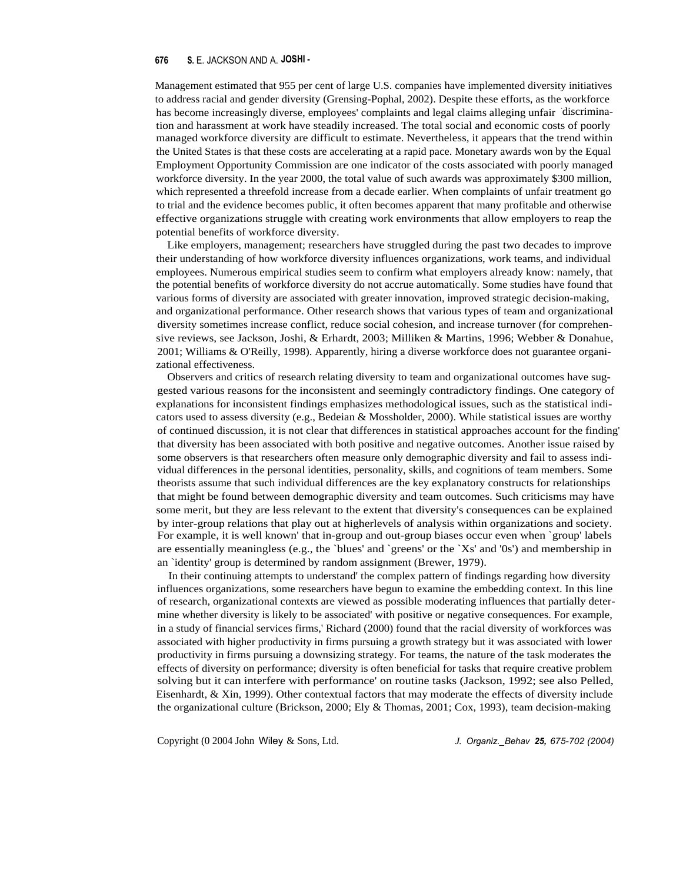Management estimated that 955 per cent of large U.S. companies have implemented diversity initiatives to address racial and gender diversity (Grensing-Pophal, 2002). Despite these efforts, as the workforce has become increasingly diverse, employees' complaints and legal claims alleging unfair discrimination and harassment at work have steadily increased. The total social and economic costs of poorly managed workforce diversity are difficult to estimate. Nevertheless, it appears that the trend within the United States is that these costs are accelerating at a rapid pace. Monetary awards won by the Equal Employment Opportunity Commission are one indicator of the costs associated with poorly managed workforce diversity. In the year 2000, the total value of such awards was approximately \$300 million, which represented a threefold increase from a decade earlier. When complaints of unfair treatment go to trial and the evidence becomes public, it often becomes apparent that many profitable and otherwise effective organizations struggle with creating work environments that allow employers to reap the potential benefits of workforce diversity.

Like employers, management; researchers have struggled during the past two decades to improve their understanding of how workforce diversity influences organizations, work teams, and individual employees. Numerous empirical studies seem to confirm what employers already know: namely, that the potential benefits of workforce diversity do not accrue automatically. Some studies have found that various forms of diversity are associated with greater innovation, improved strategic decision-making, and organizational performance. Other research shows that various types of team and organizational diversity sometimes increase conflict, reduce social cohesion, and increase turnover (for comprehensive reviews, see Jackson, Joshi, & Erhardt, 2003; Milliken & Martins, 1996; Webber & Donahue, 2001; Williams & O'Reilly, 1998). Apparently, hiring a diverse workforce does not guarantee organizational effectiveness.

Observers and critics of research relating diversity to team and organizational outcomes have suggested various reasons for the inconsistent and seemingly contradictory findings. One category of explanations for inconsistent findings emphasizes methodological issues, such as the statistical indicators used to assess diversity (e.g., Bedeian & Mossholder, 2000). While statistical issues are worthy of continued discussion, it is not clear that differences in statistical approaches account for the finding' that diversity has been associated with both positive and negative outcomes. Another issue raised by some observers is that researchers often measure only demographic diversity and fail to assess individual differences in the personal identities, personality, skills, and cognitions of team members. Some theorists assume that such individual differences are the key explanatory constructs for relationships that might be found between demographic diversity and team outcomes. Such criticisms may have some merit, but they are less relevant to the extent that diversity's consequences can be explained by inter-group relations that play out at higherlevels of analysis within organizations and society. For example, it is well known' that in-group and out-group biases occur even when `group' labels are essentially meaningless (e.g., the `blues' and `greens' or the `Xs' and '0s') and membership in an `identity' group is determined by random assignment (Brewer, 1979).

In their continuing attempts to understand' the complex pattern of findings regarding how diversity influences organizations, some researchers have begun to examine the embedding context. In this line of research, organizational contexts are viewed as possible moderating influences that partially determine whether diversity is likely to be associated' with positive or negative consequences. For example, in a study of financial services firms,' Richard (2000) found that the racial diversity of workforces was associated with higher productivity in firms pursuing a growth strategy but it was associated with lower productivity in firms pursuing a downsizing strategy. For teams, the nature of the task moderates the effects of diversity on performance; diversity is often beneficial for tasks that require creative problem solving but it can interfere with performance' on routine tasks (Jackson, 1992; see also Pelled, Eisenhardt, & Xin, 1999). Other contextual factors that may moderate the effects of diversity include the organizational culture (Brickson, 2000; Ely & Thomas, 2001; Cox, 1993), team decision-making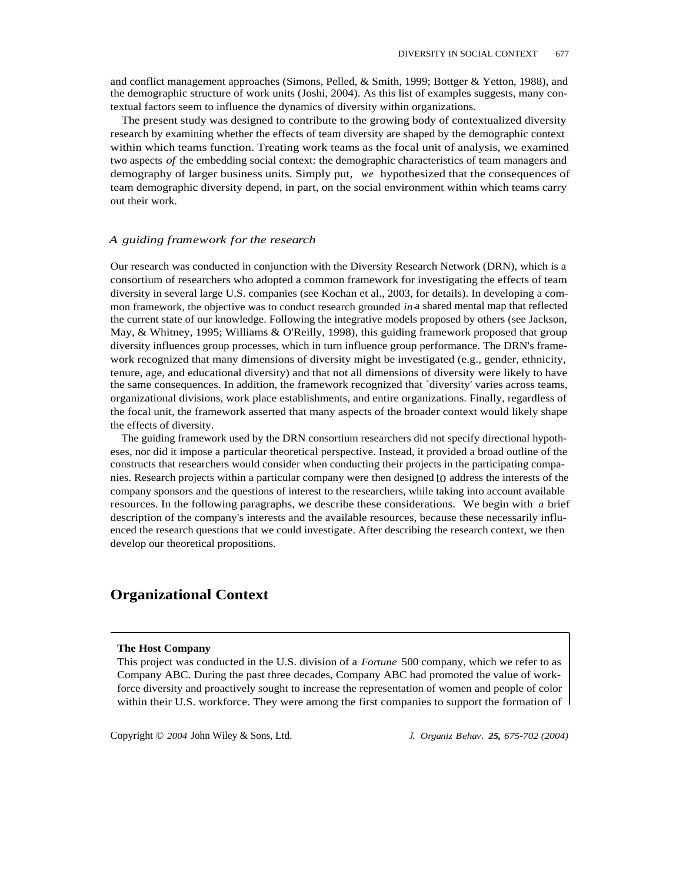and conflict management approaches (Simons, Pelled, & Smith, 1999; Bottger & Yetton, 1988), and the demographic structure of work units (Joshi, 2004). As this list of examples suggests, many contextual factors seem to influence the dynamics of diversity within organizations.

The present study was designed to contribute to the growing body of contextualized diversity research by examining whether the effects of team diversity are shaped by the demographic context within which teams function. Treating work teams as the focal unit of analysis, we examined two aspects *of* the embedding social context: the demographic characteristics of team managers and demography of larger business units. Simply put, *we* hypothesized that the consequences of team demographic diversity depend, in part, on the social environment within which teams carry out their work.

### *A guiding framework for the research*

Our research was conducted in conjunction with the Diversity Research Network (DRN), which is a consortium of researchers who adopted a common framework for investigating the effects of team diversity in several large U.S. companies (see Kochan et al., 2003, for details). In developing a common framework, the objective was to conduct research grounded *in*-a shared mental map that reflected the current state of our knowledge. Following the integrative models proposed by others (see Jackson, May, & Whitney, 1995; Williams & O'Reilly, 1998), this guiding framework proposed that group diversity influences group processes, which in turn influence group performance. The DRN's framework recognized that many dimensions of diversity might be investigated (e.g., gender, ethnicity, tenure, age, and educational diversity) and that not all dimensions of diversity were likely to have the same consequences. In addition, the framework recognized that `diversity' varies across teams, organizational divisions, work place establishments, and entire organizations. Finally, regardless of the focal unit, the framework asserted that many aspects of the broader context would likely shape the effects of diversity.

The guiding framework used by the DRN consortium researchers did not specify directional hypotheses, nor did it impose a particular theoretical perspective. Instead, it provided a broad outline of the constructs that researchers would consider when conducting their projects in the participating companies. Research projects within a particular company were then designed to address the interests of the company sponsors and the questions of interest to the researchers, while taking into account available resources. In the following paragraphs, we describe these considerations. We begin with *a* brief description of the company's interests and the available resources, because these necessarily influenced the research questions that we could investigate. After describing the research context, we then develop our theoretical propositions.

# **Organizational Context**

#### **The Host Company**

This project was conducted in the U.S. division of a *Fortune* 500 company, which we refer to as Company ABC. During the past three decades, Company ABC had promoted the value of workforce diversity and proactively sought to increase the representation of women and people of color within their U.S. workforce. They were among the first companies to support the formation of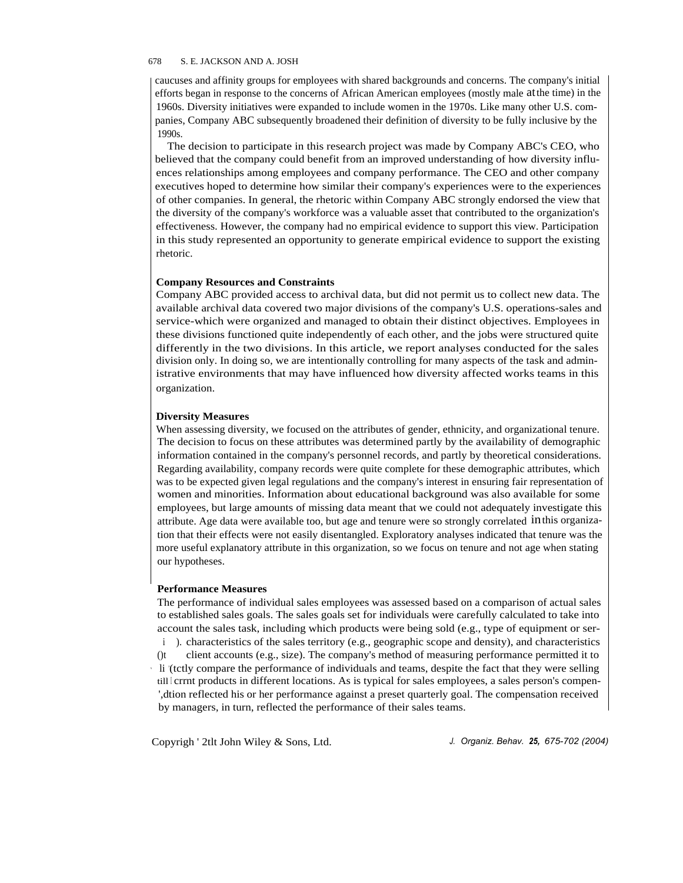caucuses and affinity groups for employees with shared backgrounds and concerns. The company's initial efforts began in response to the concerns of African American employees (mostly male atthe time) in the 1960s. Diversity initiatives were expanded to include women in the 1970s. Like many other U.S. companies, Company ABC subsequently broadened their definition of diversity to be fully inclusive by the 1990s.

The decision to participate in this research project was made by Company ABC's CEO, who believed that the company could benefit from an improved understanding of how diversity influences relationships among employees and company performance. The CEO and other company executives hoped to determine how similar their company's experiences were to the experiences of other companies. In general, the rhetoric within Company ABC strongly endorsed the view that the diversity of the company's workforce was a valuable asset that contributed to the organization's effectiveness. However, the company had no empirical evidence to support this view. Participation in this study represented an opportunity to generate empirical evidence to support the existing rhetoric.

### **Company Resources and Constraints**

Company ABC provided access to archival data, but did not permit us to collect new data. The available archival data covered two major divisions of the company's U.S. operations-sales and service-which were organized and managed to obtain their distinct objectives. Employees in these divisions functioned quite independently of each other, and the jobs were structured quite differently in the two divisions. In this article, we report analyses conducted for the sales division only. In doing so, we are intentionally controlling for many aspects of the task and administrative environments that may have influenced how diversity affected works teams in this organization.

### **Diversity Measures**

When assessing diversity, we focused on the attributes of gender, ethnicity, and organizational tenure. The decision to focus on these attributes was determined partly by the availability of demographic information contained in the company's personnel records, and partly by theoretical considerations. Regarding availability, company records were quite complete for these demographic attributes, which was to be expected given legal regulations and the company's interest in ensuring fair representation of women and minorities. Information about educational background was also available for some employees, but large amounts of missing data meant that we could not adequately investigate this attribute. Age data were available too, but age and tenure were so strongly correlated inthis organization that their effects were not easily disentangled. Exploratory analyses indicated that tenure was the more useful explanatory attribute in this organization, so we focus on tenure and not age when stating our hypotheses.

#### **Performance Measures**

The performance of individual sales employees was assessed based on a comparison of actual sales to established sales goals. The sales goals set for individuals were carefully calculated to take into account the sales task, including which products were being sold (e.g., type of equipment or ser $i$ ). characteristics of the sales territory (e.g., geographic scope and density), and characteristics ()t client accounts (e.g., size). The company's method of measuring performance permitted it to <sup>~</sup> li , (tctly compare the performance of individuals and teams, despite the fact that they were selling till crrnt products in different locations. As is typical for sales employees, a sales person's compen-',dtion reflected his or her performance against a preset quarterly goal. The compensation received by managers, in turn, reflected the performance of their sales teams.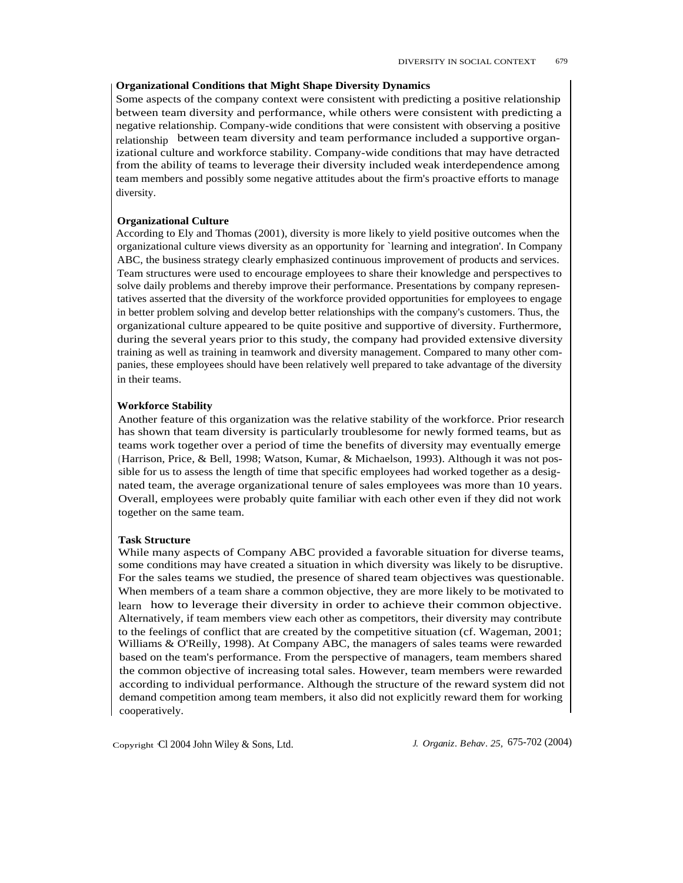### **Organizational Conditions that Might Shape Diversity Dynamics**

Some aspects of the company context were consistent with predicting a positive relationship between team diversity and performance, while others were consistent with predicting a negative relationship. Company-wide conditions that were consistent with observing a positive relationship between team diversity and team performance included a supportive organizational culture and workforce stability. Company-wide conditions that may have detracted from the ability of teams to leverage their diversity included weak interdependence among team members and possibly some negative attitudes about the firm's proactive efforts to manage diversity.

# **Organizational Culture**

According to Ely and Thomas (2001), diversity is more likely to yield positive outcomes when the organizational culture views diversity as an opportunity for `learning and integration'. In Company ABC, the business strategy clearly emphasized continuous improvement of products and services. Team structures were used to encourage employees to share their knowledge and perspectives to solve daily problems and thereby improve their performance. Presentations by company representatives asserted that the diversity of the workforce provided opportunities for employees to engage in better problem solving and develop better relationships with the company's customers. Thus, the organizational culture appeared to be quite positive and supportive of diversity. Furthermore, during the several years prior to this study, the company had provided extensive diversity training as well as training in teamwork and diversity management. Compared to many other companies, these employees should have been relatively well prepared to take advantage of the diversity in their teams.

#### **Workforce Stability**

Another feature of this organization was the relative stability of the workforce. Prior research has shown that team diversity is particularly troublesome for newly formed teams, but as teams work together over a period of time the benefits of diversity may eventually emerge (Harrison, Price, & Bell, 1998; Watson, Kumar, & Michaelson, 1993). Although it was not possible for us to assess the length of time that specific employees had worked together as a designated team, the average organizational tenure of sales employees was more than 10 years. Overall, employees were probably quite familiar with each other even if they did not work together on the same team.

#### **Task Structure**

While many aspects of Company ABC provided a favorable situation for diverse teams, some conditions may have created a situation in which diversity was likely to be disruptive. For the sales teams we studied, the presence of shared team objectives was questionable. When members of a team share a common objective, they are more likely to be motivated to learn how to leverage their diversity in order to achieve their common objective. Alternatively, if team members view each other as competitors, their diversity may contribute to the feelings of conflict that are created by the competitive situation (cf. Wageman, 2001; Williams & O'Reilly, 1998). At Company ABC, the managers of sales teams were rewarded based on the team's performance. From the perspective of managers, team members shared the common objective of increasing total sales. However, team members were rewarded according to individual performance. Although the structure of the reward system did not demand competition among team members, it also did not explicitly reward them for working cooperatively.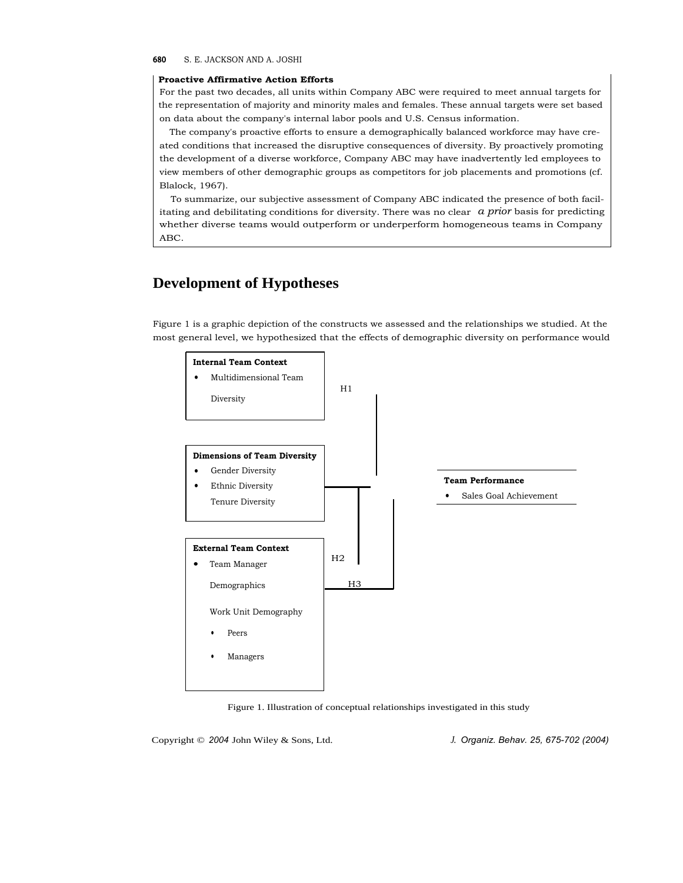#### **Proactive Affirmative Action Efforts**

For the past two decades, all units within Company ABC were required to meet annual targets for the representation of majority and minority males and females. These annual targets were set based on data about the company's internal labor pools and U.S. Census information.

The company's proactive efforts to ensure a demographically balanced workforce may have created conditions that increased the disruptive consequences of diversity. By proactively promoting the development of a diverse workforce, Company ABC may have inadvertently led employees to view members of other demographic groups as competitors for job placements and promotions (cf. Blalock, 1967).

To summarize, our subjective assessment of Company ABC indicated the presence of both facilitating and debilitating conditions for diversity. There was no clear *a prior* basis for predicting whether diverse teams would outperform or underperform homogeneous teams in Company ABC.

# **Development of Hypotheses**

Figure 1 is a graphic depiction of the constructs we assessed and the relationships we studied. At the most general level, we hypothesized that the effects of demographic diversity on performance would



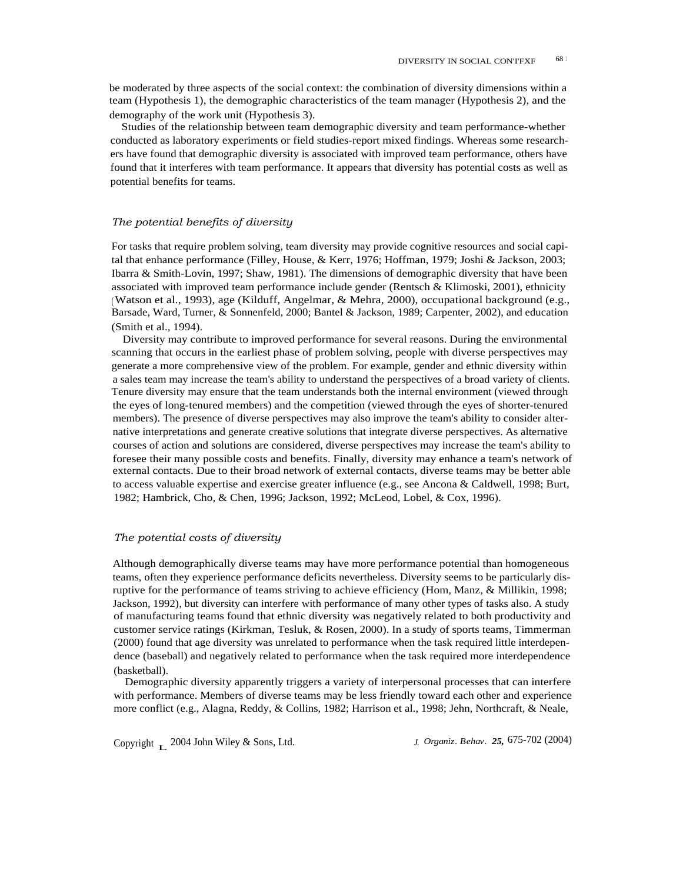be moderated by three aspects of the social context: the combination of diversity dimensions within a team (Hypothesis 1), the demographic characteristics of the team manager (Hypothesis 2), and the demography of the work unit (Hypothesis 3).

Studies of the relationship between team demographic diversity and team performance-whether conducted as laboratory experiments or field studies-report mixed findings. Whereas some researchers have found that demographic diversity is associated with improved team performance, others have found that it interferes with team performance. It appears that diversity has potential costs as well as potential benefits for teams.

# *The potential benefits of diversity*

For tasks that require problem solving, team diversity may provide cognitive resources and social capital that enhance performance (Filley, House, & Kerr, 1976; Hoffman, 1979; Joshi & Jackson, 2003; Ibarra & Smith-Lovin, 1997; Shaw, 1981). The dimensions of demographic diversity that have been associated with improved team performance include gender (Rentsch & Klimoski, 2001), ethnicity (Watson et al., 1993), age (Kilduff, Angelmar, & Mehra, 2000), occupational background (e.g., Barsade, Ward, Turner, & Sonnenfeld, 2000; Bantel & Jackson, 1989; Carpenter, 2002), and education (Smith et al., 1994).

Diversity may contribute to improved performance for several reasons. During the environmental scanning that occurs in the earliest phase of problem solving, people with diverse perspectives may generate a more comprehensive view of the problem. For example, gender and ethnic diversity within a sales team may increase the team's ability to understand the perspectives of a broad variety of clients. Tenure diversity may ensure that the team understands both the internal environment (viewed through the eyes of long-tenured members) and the competition (viewed through the eyes of shorter-tenured members). The presence of diverse perspectives may also improve the team's ability to consider alternative interpretations and generate creative solutions that integrate diverse perspectives. As alternative courses of action and solutions are considered, diverse perspectives may increase the team's ability to foresee their many possible costs and benefits. Finally, diversity may enhance a team's network of external contacts. Due to their broad network of external contacts, diverse teams may be better able to access valuable expertise and exercise greater influence (e.g., see Ancona & Caldwell, 1998; Burt, 1982; Hambrick, Cho, & Chen, 1996; Jackson, 1992; McLeod, Lobel, & Cox, 1996).

# *The potential costs of diversity*

Although demographically diverse teams may have more performance potential than homogeneous teams, often they experience performance deficits nevertheless. Diversity seems to be particularly disruptive for the performance of teams striving to achieve efficiency (Hom, Manz, & Millikin, 1998; Jackson, 1992), but diversity can interfere with performance of many other types of tasks also. A study of manufacturing teams found that ethnic diversity was negatively related to both productivity and customer service ratings (Kirkman, Tesluk, & Rosen, 2000). In a study of sports teams, Timmerman (2000) found that age diversity was unrelated to performance when the task required little interdependence (baseball) and negatively related to performance when the task required more interdependence (basketball).

Demographic diversity apparently triggers a variety of interpersonal processes that can interfere with performance. Members of diverse teams may be less friendly toward each other and experience more conflict (e.g., Alagna, Reddy, & Collins, 1982; Harrison et al., 1998; Jehn, Northcraft, & Neale,

Copyright  $\overline{L}$  2004 John Wiley & Sons, Ltd.

J. Organiz. Behav. 25, 675-702 (2004)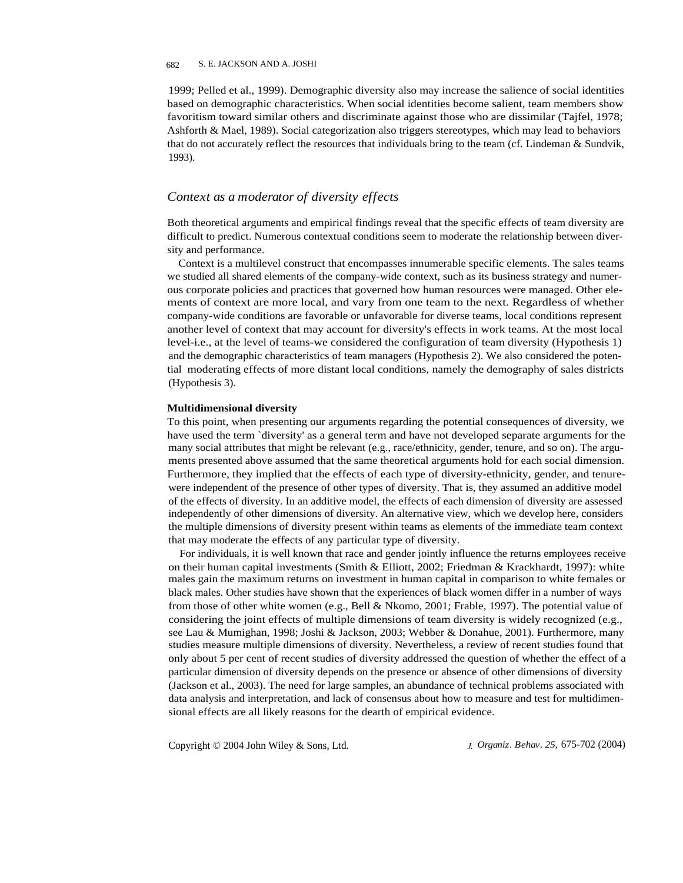1999; Pelled et al., 1999). Demographic diversity also may increase the salience of social identities based on demographic characteristics. When social identities become salient, team members show favoritism toward similar others and discriminate against those who are dissimilar (Tajfel, 1978; Ashforth & Mael, 1989). Social categorization also triggers stereotypes, which may lead to behaviors that do not accurately reflect the resources that individuals bring to the team (cf. Lindeman & Sundvik, 1993).

# *Context as a moderator of diversity effects*

Both theoretical arguments and empirical findings reveal that the specific effects of team diversity are difficult to predict. Numerous contextual conditions seem to moderate the relationship between diversity and performance.

Context is a multilevel construct that encompasses innumerable specific elements. The sales teams we studied all shared elements of the company-wide context, such as its business strategy and numerous corporate policies and practices that governed how human resources were managed. Other elements of context are more local, and vary from one team to the next. Regardless of whether company-wide conditions are favorable or unfavorable for diverse teams, local conditions represent another level of context that may account for diversity's effects in work teams. At the most local level-i.e., at the level of teams-we considered the configuration of team diversity (Hypothesis 1) and the demographic characteristics of team managers (Hypothesis 2). We also considered the potential moderating effects of more distant local conditions, namely the demography of sales districts (Hypothesis 3).

#### **Multidimensional diversity**

To this point, when presenting our arguments regarding the potential consequences of diversity, we have used the term `diversity' as a general term and have not developed separate arguments for the many social attributes that might be relevant (e.g., race/ethnicity, gender, tenure, and so on). The arguments presented above assumed that the same theoretical arguments hold for each social dimension. Furthermore, they implied that the effects of each type of diversity-ethnicity, gender, and tenurewere independent of the presence of other types of diversity. That is, they assumed an additive model of the effects of diversity. In an additive model, the effects of each dimension of diversity are assessed independently of other dimensions of diversity. An alternative view, which we develop here, considers the multiple dimensions of diversity present within teams as elements of the immediate team context that may moderate the effects of any particular type of diversity.

For individuals, it is well known that race and gender jointly influence the returns employees receive on their human capital investments (Smith & Elliott, 2002; Friedman & Krackhardt, 1997): white males gain the maximum returns on investment in human capital in comparison to white females or black males. Other studies have shown that the experiences of black women differ in a number of ways from those of other white women (e.g., Bell & Nkomo, 2001; Frable, 1997). The potential value of considering the joint effects of multiple dimensions of team diversity is widely recognized (e.g., see Lau & Mumighan, 1998; Joshi & Jackson, 2003; Webber & Donahue, 2001). Furthermore, many studies measure multiple dimensions of diversity. Nevertheless, a review of recent studies found that only about 5 per cent of recent studies of diversity addressed the question of whether the effect of a particular dimension of diversity depends on the presence or absence of other dimensions of diversity (Jackson et al., 2003). The need for large samples, an abundance of technical problems associated with data analysis and interpretation, and lack of consensus about how to measure and test for multidimensional effects are all likely reasons for the dearth of empirical evidence.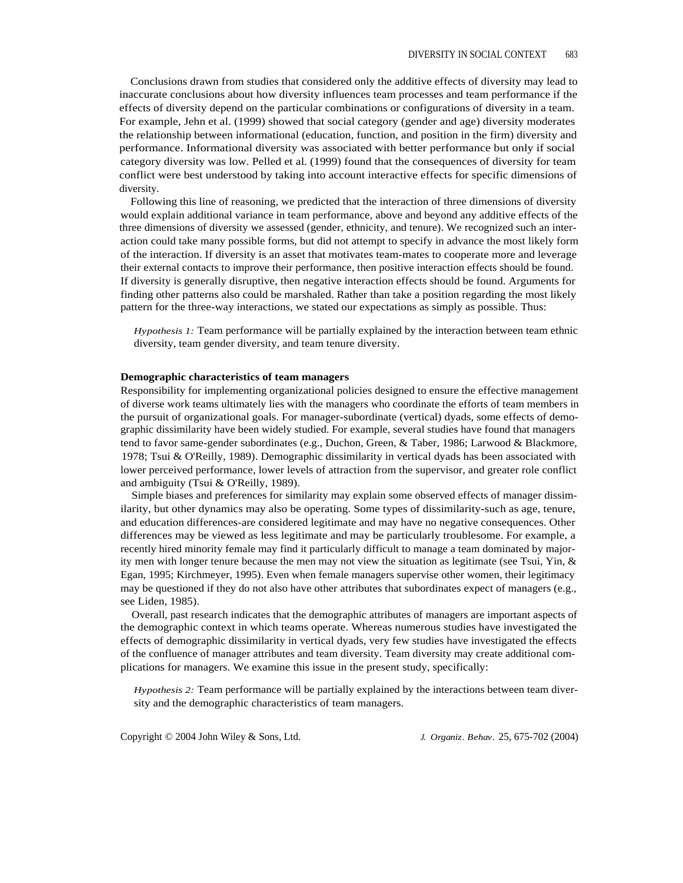Conclusions drawn from studies that considered only the additive effects of diversity may lead to inaccurate conclusions about how diversity influences team processes and team performance if the effects of diversity depend on the particular combinations or configurations of diversity in a team. For example, Jehn et al. (1999) showed that social category (gender and age) diversity moderates the relationship between informational (education, function, and position in the firm) diversity and performance. Informational diversity was associated with better performance but only if social category diversity was low. Pelled et al. (1999) found that the consequences of diversity for team conflict were best understood by taking into account interactive effects for specific dimensions of diversity.

Following this line of reasoning, we predicted that the interaction of three dimensions of diversity would explain additional variance in team performance, above and beyond any additive effects of the three dimensions of diversity we assessed (gender, ethnicity, and tenure). We recognized such an interaction could take many possible forms, but did not attempt to specify in advance the most likely form of the interaction. If diversity is an asset that motivates team-mates to cooperate more and leverage their external contacts to improve their performance, then positive interaction effects should be found. If diversity is generally disruptive, then negative interaction effects should be found. Arguments for finding other patterns also could be marshaled. Rather than take a position regarding the most likely pattern for the three-way interactions, we stated our expectations as simply as possible. Thus:

*Hypothesis 1:* Team performance will be partially explained by the interaction between team ethnic diversity, team gender diversity, and team tenure diversity.

# **Demographic characteristics of team managers**

Responsibility for implementing organizational policies designed to ensure the effective management of diverse work teams ultimately lies with the managers who coordinate the efforts of team members in the pursuit of organizational goals. For manager-subordinate (vertical) dyads, some effects of demographic dissimilarity have been widely studied. For example, several studies have found that managers tend to favor same-gender subordinates (e.g., Duchon, Green, & Taber, 1986; Larwood & Blackmore, 1978; Tsui & O'Reilly, 1989). Demographic dissimilarity in vertical dyads has been associated with lower perceived performance, lower levels of attraction from the supervisor, and greater role conflict and ambiguity (Tsui & O'Reilly, 1989).

Simple biases and preferences for similarity may explain some observed effects of manager dissimilarity, but other dynamics may also be operating. Some types of dissimilarity-such as age, tenure, and education differences-are considered legitimate and may have no negative consequences. Other differences may be viewed as less legitimate and may be particularly troublesome. For example, a recently hired minority female may find it particularly difficult to manage a team dominated by majority men with longer tenure because the men may not view the situation as legitimate (see Tsui, Yin, & Egan, 1995; Kirchmeyer, 1995). Even when female managers supervise other women, their legitimacy may be questioned if they do not also have other attributes that subordinates expect of managers (e.g., see Liden, 1985).

Overall, past research indicates that the demographic attributes of managers are important aspects of the demographic context in which teams operate. Whereas numerous studies have investigated the effects of demographic dissimilarity in vertical dyads, very few studies have investigated the effects of the confluence of manager attributes and team diversity. Team diversity may create additional complications for managers. We examine this issue in the present study, specifically:

*Hypothesis 2:* Team performance will be partially explained by the interactions between team diversity and the demographic characteristics of team managers.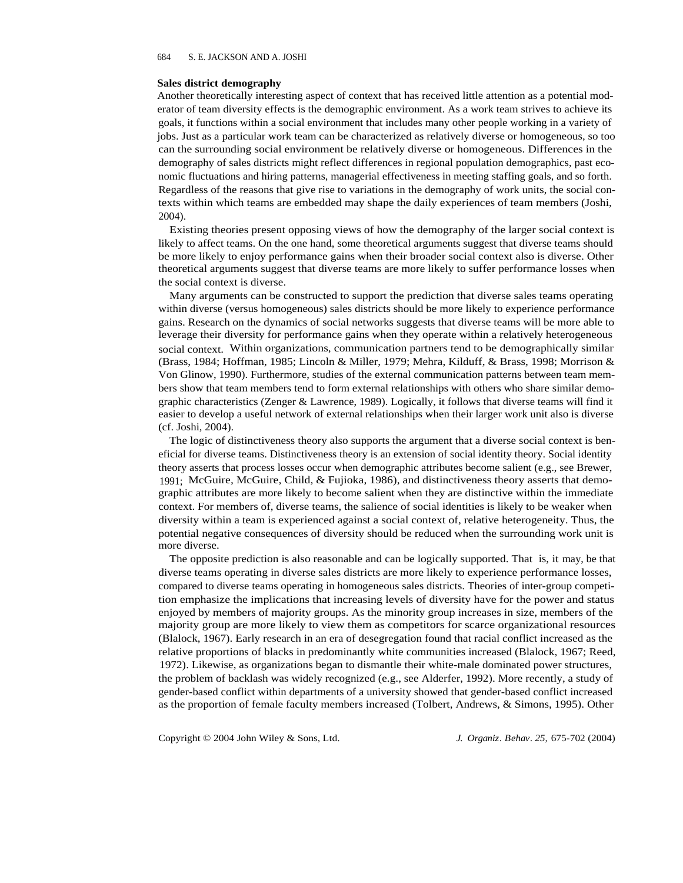### **Sales district demography**

Another theoretically interesting aspect of context that has received little attention as a potential moderator of team diversity effects is the demographic environment. As a work team strives to achieve its goals, it functions within a social environment that includes many other people working in a variety of jobs. Just as a particular work team can be characterized as relatively diverse or homogeneous, so too can the surrounding social environment be relatively diverse or homogeneous. Differences in the demography of sales districts might reflect differences in regional population demographics, past economic fluctuations and hiring patterns, managerial effectiveness in meeting staffing goals, and so forth. Regardless of the reasons that give rise to variations in the demography of work units, the social contexts within which teams are embedded may shape the daily experiences of team members (Joshi, 2004).

Existing theories present opposing views of how the demography of the larger social context is likely to affect teams. On the one hand, some theoretical arguments suggest that diverse teams should be more likely to enjoy performance gains when their broader social context also is diverse. Other theoretical arguments suggest that diverse teams are more likely to suffer performance losses when the social context is diverse.

Many arguments can be constructed to support the prediction that diverse sales teams operating within diverse (versus homogeneous) sales districts should be more likely to experience performance gains. Research on the dynamics of social networks suggests that diverse teams will be more able to leverage their diversity for performance gains when they operate within a relatively heterogeneous social context. Within organizations, communication partners tend to be demographically similar (Brass, 1984; Hoffman, 1985; Lincoln & Miller, 1979; Mehra, Kilduff, & Brass, 1998; Morrison & Von Glinow, 1990). Furthermore, studies of the external communication patterns between team members show that team members tend to form external relationships with others who share similar demographic characteristics (Zenger & Lawrence, 1989). Logically, it follows that diverse teams will find it easier to develop a useful network of external relationships when their larger work unit also is diverse (cf. Joshi, 2004).

The logic of distinctiveness theory also supports the argument that a diverse social context is beneficial for diverse teams. Distinctiveness theory is an extension of social identity theory. Social identity theory asserts that process losses occur when demographic attributes become salient (e.g., see Brewer, 1991; McGuire, McGuire, Child, & Fujioka, 1986), and distinctiveness theory asserts that demographic attributes are more likely to become salient when they are distinctive within the immediate context. For members of, diverse teams, the salience of social identities is likely to be weaker when diversity within a team is experienced against a social context of, relative heterogeneity. Thus, the potential negative consequences of diversity should be reduced when the surrounding work unit is more diverse.

The opposite prediction is also reasonable and can be logically supported. That is, it may, be that diverse teams operating in diverse sales districts are more likely to experience performance losses, compared to diverse teams operating in homogeneous sales districts. Theories of inter-group competition emphasize the implications that increasing levels of diversity have for the power and status enjoyed by members of majority groups. As the minority group increases in size, members of the majority group are more likely to view them as competitors for scarce organizational resources (Blalock, 1967). Early research in an era of desegregation found that racial conflict increased as the relative proportions of blacks in predominantly white communities increased (Blalock, 1967; Reed, 1972). Likewise, as organizations began to dismantle their white-male dominated power structures, the problem of backlash was widely recognized (e.g., see Alderfer, 1992). More recently, a study of gender-based conflict within departments of a university showed that gender-based conflict increased as the proportion of female faculty members increased (Tolbert, Andrews, & Simons, 1995). Other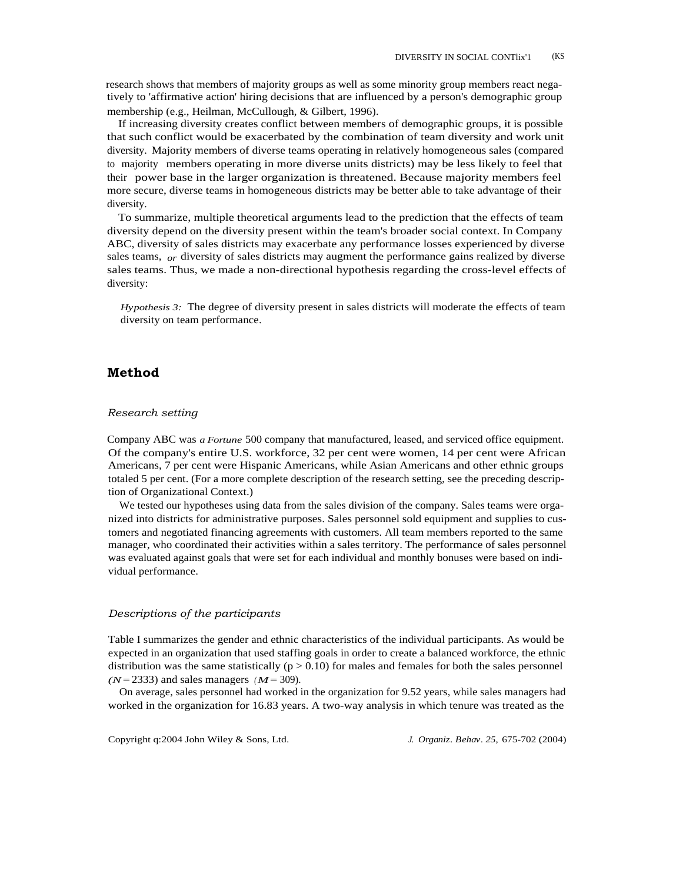research shows that members of majority groups as well as some minority group members react negatively to 'affirmative action' hiring decisions that are influenced by a person's demographic group membership (e.g., Heilman, McCullough, & Gilbert, 1996).

If increasing diversity creates conflict between members of demographic groups, it is possible that such conflict would be exacerbated by the combination of team diversity and work unit diversity. Majority members of diverse teams operating in relatively homogeneous sales (compared to majority members operating in more diverse units districts) may be less likely to feel that their power base in the larger organization is threatened. Because majority members feel more secure, diverse teams in homogeneous districts may be better able to take advantage of their diversity.

To summarize, multiple theoretical arguments lead to the prediction that the effects of team diversity depend on the diversity present within the team's broader social context. In Company ABC, diversity of sales districts may exacerbate any performance losses experienced by diverse sales teams, *or* diversity of sales districts may augment the performance gains realized by diverse sales teams. Thus, we made a non-directional hypothesis regarding the cross-level effects of diversity:

*Hypothesis 3:* The degree of diversity present in sales districts will moderate the effects of team diversity on team performance.

# **Method**

#### *Research setting*

Company ABC was *a Fortune* 500 company that manufactured, leased, and serviced office equipment. Of the company's entire U.S. workforce, 32 per cent were women, 14 per cent were African Americans, 7 per cent were Hispanic Americans, while Asian Americans and other ethnic groups totaled 5 per cent. (For a more complete description of the research setting, see the preceding description of Organizational Context.)

We tested our hypotheses using data from the sales division of the company. Sales teams were organized into districts for administrative purposes. Sales personnel sold equipment and supplies to customers and negotiated financing agreements with customers. All team members reported to the same manager, who coordinated their activities within a sales territory. The performance of sales personnel was evaluated against goals that were set for each individual and monthly bonuses were based on individual performance.

# *Descriptions of the participants*

Table I summarizes the gender and ethnic characteristics of the individual participants. As would be expected in an organization that used staffing goals in order to create a balanced workforce, the ethnic distribution was the same statistically ( $p > 0.10$ ) for males and females for both the sales personnel  $(N=2333)$  and sales managers *(M=* 309).

On average, sales personnel had worked in the organization for 9.52 years, while sales managers had worked in the organization for 16.83 years. A two-way analysis in which tenure was treated as the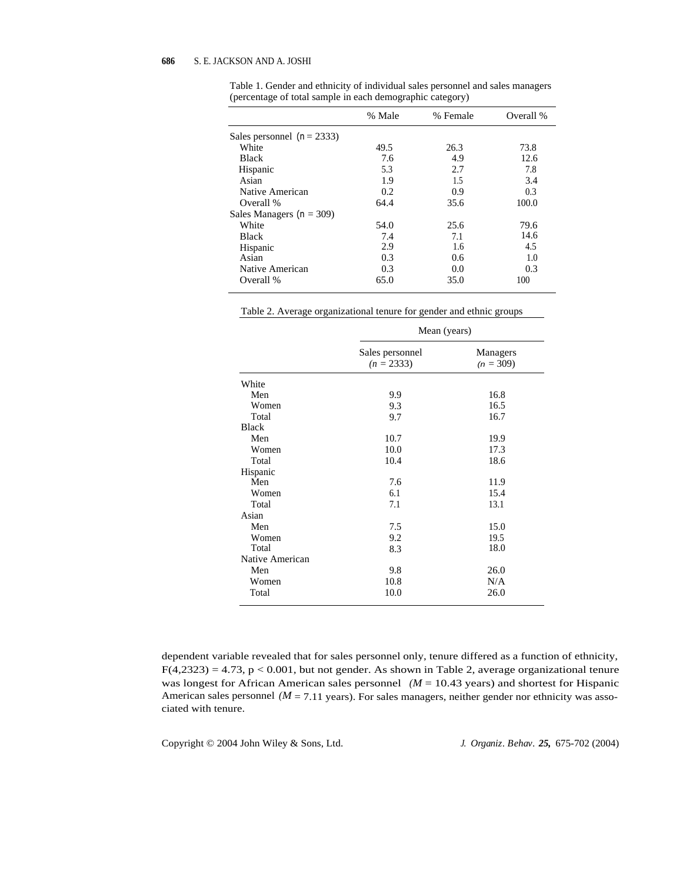|                              | % Male | % Female | Overall % |
|------------------------------|--------|----------|-----------|
| Sales personnel $(n = 2333)$ |        |          |           |
| White                        | 49.5   | 26.3     | 73.8      |
| <b>Black</b>                 | 7.6    | 4.9      | 12.6      |
| Hispanic                     | 5.3    | 2.7      | 7.8       |
| Asian                        | 1.9    | 1.5      | 3.4       |
| Native American              | 0.2    | 0.9      | 0.3       |
| Overall %                    | 64.4   | 35.6     | 100.0     |
| Sales Managers ( $n = 309$ ) |        |          |           |
| White                        | 54.0   | 25.6     | 79.6      |
| <b>Black</b>                 | 7.4    | 7.1      | 14.6      |
| Hispanic                     | 2.9    | 1.6      | 4.5       |
| Asian                        | 0.3    | 0.6      | 1.0       |
| Native American              | 0.3    | 0.0      | 0.3       |
| Overall %                    | 65.0   | 35.0     | 100       |
|                              |        |          |           |

Table 1. Gender and ethnicity of individual sales personnel and sales managers (percentage of total sample in each demographic category)

|  |  | Table 2. Average organizational tenure for gender and ethnic groups |  |
|--|--|---------------------------------------------------------------------|--|
|  |  |                                                                     |  |

|                 | Mean (years)                    |                         |
|-----------------|---------------------------------|-------------------------|
|                 | Sales personnel<br>$(n = 2333)$ | Managers<br>$(n = 309)$ |
| White           |                                 |                         |
| Men             | 9.9                             | 16.8                    |
| Women           | 9.3                             | 16.5                    |
| Total           | 9.7                             | 16.7                    |
| <b>Black</b>    |                                 |                         |
| Men             | 10.7                            | 19.9                    |
| Women           | 10.0                            | 17.3                    |
| Total           | 10.4                            | 18.6                    |
| Hispanic        |                                 |                         |
| Men             | 7.6                             | 11.9                    |
| Women           | 6.1                             | 15.4                    |
| Total           | 7.1                             | 13.1                    |
| Asian           |                                 |                         |
| Men             | 7.5                             | 15.0                    |
| Women           | 9.2                             | 19.5                    |
| Total           | 8.3                             | 18.0                    |
| Native American |                                 |                         |
| Men             | 9.8                             | 26.0                    |
| Women           | 10.8                            | N/A                     |
| Total           | 10.0                            | 26.0                    |

dependent variable revealed that for sales personnel only, tenure differed as a function of ethnicity,  $F(4,2323) = 4.73$ ,  $p < 0.001$ , but not gender. As shown in Table 2, average organizational tenure was longest for African American sales personnel  $(M = 10.43 \text{ years})$  and shortest for Hispanic American sales personnel  $(M = 7.11$  years). For sales managers, neither gender nor ethnicity was associated with tenure.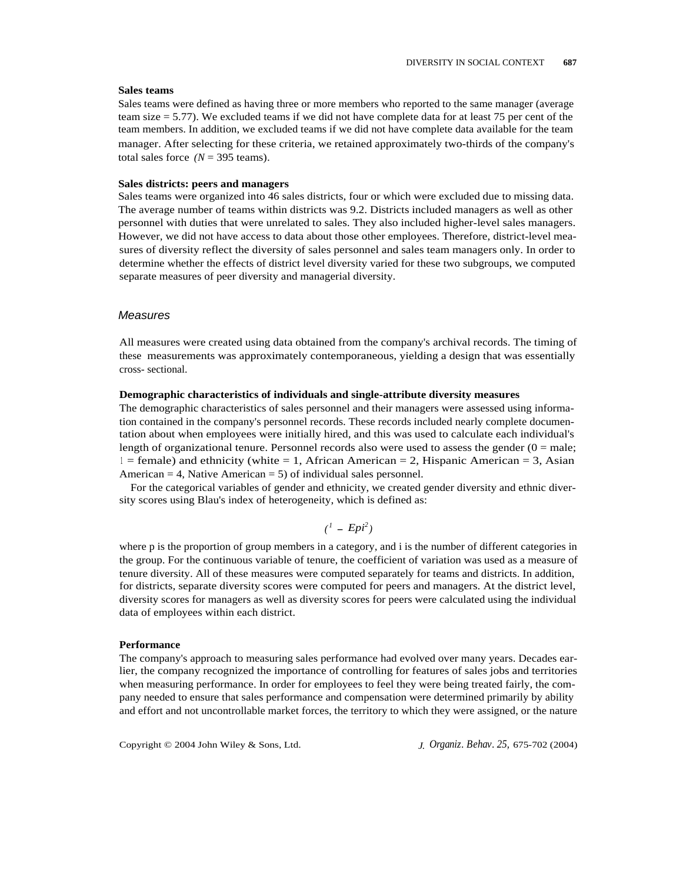#### **Sales teams**

Sales teams were defined as having three or more members who reported to the same manager (average team size  $= 5.77$ ). We excluded teams if we did not have complete data for at least 75 per cent of the team members. In addition, we excluded teams if we did not have complete data available for the team manager. After selecting for these criteria, we retained approximately two-thirds of the company's total sales force  $(N = 395 \text{ teams}).$ 

#### **Sales districts: peers and managers**

Sales teams were organized into 46 sales districts, four or which were excluded due to missing data. The average number of teams within districts was 9.2. Districts included managers as well as other personnel with duties that were unrelated to sales. They also included higher-level sales managers. However, we did not have access to data about those other employees. Therefore, district-level measures of diversity reflect the diversity of sales personnel and sales team managers only. In order to determine whether the effects of district level diversity varied for these two subgroups, we computed separate measures of peer diversity and managerial diversity.

#### **Measures**

All measures were created using data obtained from the company's archival records. The timing of these measurements was approximately contemporaneous, yielding a design that was essentially cross- sectional.

### **Demographic characteristics of individuals and single-attribute diversity measures**

The demographic characteristics of sales personnel and their managers were assessed using information contained in the company's personnel records. These records included nearly complete documentation about when employees were initially hired, and this was used to calculate each individual's length of organizational tenure. Personnel records also were used to assess the gender  $(0 = male;$  $1 =$  female) and ethnicity (white  $= 1$ , African American  $= 2$ , Hispanic American  $= 3$ , Asian American  $= 4$ , Native American  $= 5$ ) of individual sales personnel.

For the categorical variables of gender and ethnicity, we created gender diversity and ethnic diversity scores using Blau's index of heterogeneity, which is defined as:

$$
(^{l}-Epi^{2})
$$

where p is the proportion of group members in a category, and i is the number of different categories in the group. For the continuous variable of tenure, the coefficient of variation was used as a measure of tenure diversity. All of these measures were computed separately for teams and districts. In addition, for districts, separate diversity scores were computed for peers and managers. At the district level, diversity scores for managers as well as diversity scores for peers were calculated using the individual data of employees within each district.

# **Performance**

The company's approach to measuring sales performance had evolved over many years. Decades earlier, the company recognized the importance of controlling for features of sales jobs and territories when measuring performance. In order for employees to feel they were being treated fairly, the company needed to ensure that sales performance and compensation were determined primarily by ability and effort and not uncontrollable market forces, the territory to which they were assigned, or the nature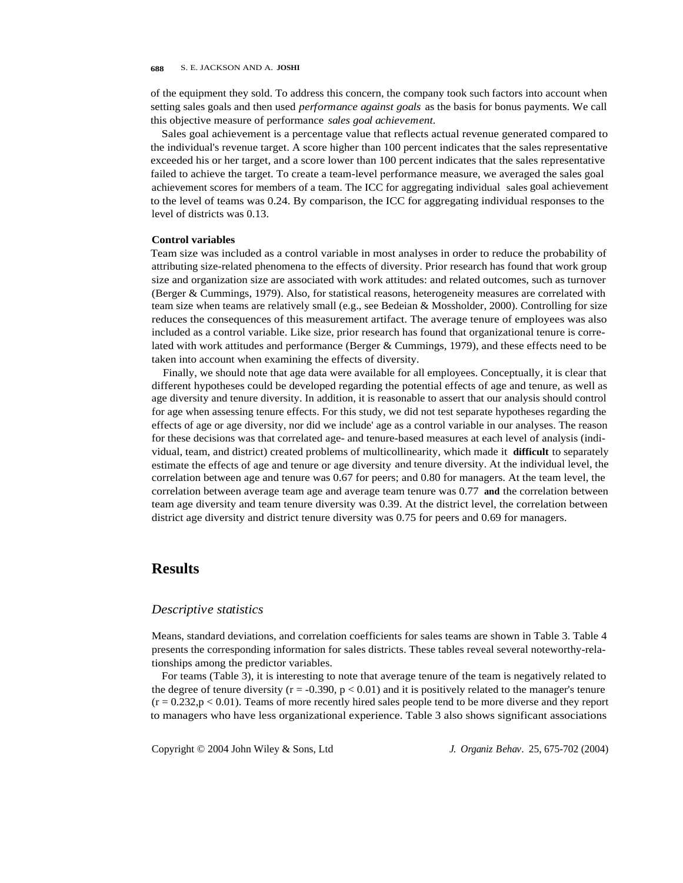of the equipment they sold. To address this concern, the company took such factors into account when setting sales goals and then used *performance against goals* as the basis for bonus payments. We call this objective measure of performance *sales goal achievement.*

Sales goal achievement is a percentage value that reflects actual revenue generated compared to the individual's revenue target. A score higher than 100 percent indicates that the sales representative exceeded his or her target, and a score lower than 100 percent indicates that the sales representative failed to achieve the target. To create a team-level performance measure, we averaged the sales goal achievement scores for members of a team. The ICC for aggregating individual sales goal achievement to the level of teams was 0.24. By comparison, the ICC for aggregating individual responses to the level of districts was 0.13.

#### **Control variables**

Team size was included as a control variable in most analyses in order to reduce the probability of attributing size-related phenomena to the effects of diversity. Prior research has found that work group size and organization size are associated with work attitudes: and related outcomes, such as turnover (Berger & Cummings, 1979). Also, for statistical reasons, heterogeneity measures are correlated with team size when teams are relatively small (e.g., see Bedeian & Mossholder, 2000). Controlling for size reduces the consequences of this measurement artifact. The average tenure of employees was also included as a control variable. Like size, prior research has found that organizational tenure is correlated with work attitudes and performance (Berger & Cummings, 1979), and these effects need to be taken into account when examining the effects of diversity.

Finally, we should note that age data were available for all employees. Conceptually, it is clear that different hypotheses could be developed regarding the potential effects of age and tenure, as well as age diversity and tenure diversity. In addition, it is reasonable to assert that our analysis should control for age when assessing tenure effects. For this study, we did not test separate hypotheses regarding the effects of age or age diversity, nor did we include' age as a control variable in our analyses. The reason for these decisions was that correlated age- and tenure-based measures at each level of analysis (individual, team, and district) created problems of multicollinearity, which made it **difficult** to separately estimate the effects of age and tenure or age diversity and tenure diversity. At the individual level, the correlation between age and tenure was 0.67 for peers; and 0.80 for managers. At the team level, the correlation between average team age and average team tenure was 0.77 **and** the correlation between team age diversity and team tenure diversity was 0.39. At the district level, the correlation between district age diversity and district tenure diversity was 0.75 for peers and 0.69 for managers.

# **Results**

#### *Descriptive statistics*

Means, standard deviations, and correlation coefficients for sales teams are shown in Table 3. Table 4 presents the corresponding information for sales districts. These tables reveal several noteworthy-relationships among the predictor variables.

For teams (Table 3), it is interesting to note that average tenure of the team is negatively related to the degree of tenure diversity ( $r = -0.390$ ,  $p < 0.01$ ) and it is positively related to the manager's tenure  $(r = 0.232, p < 0.01)$ . Teams of more recently hired sales people tend to be more diverse and they report to managers who have less organizational experience. Table 3 also shows significant associations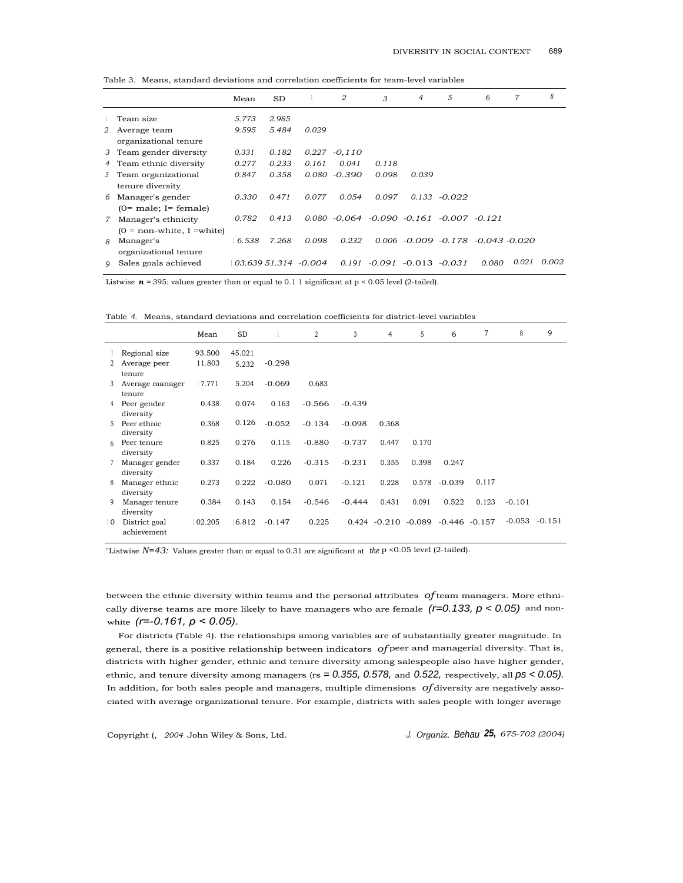|  |  |  |  |  |  |  |  | Table 3. Means, standard deviations and correlation coefficients for team-level variables |  |
|--|--|--|--|--|--|--|--|-------------------------------------------------------------------------------------------|--|
|--|--|--|--|--|--|--|--|-------------------------------------------------------------------------------------------|--|

|                |                                                                                           |                        |           |       |                 |                                            |                | DIVERSITY IN SOCIAL CONTEXT         |       |
|----------------|-------------------------------------------------------------------------------------------|------------------------|-----------|-------|-----------------|--------------------------------------------|----------------|-------------------------------------|-------|
|                |                                                                                           |                        |           |       |                 |                                            |                |                                     |       |
|                | Table 3. Means, standard deviations and correlation coefficients for team-level variables |                        |           |       |                 |                                            |                |                                     |       |
|                |                                                                                           | Mean                   | <b>SD</b> |       | $\mathfrak{D}$  | 3                                          | $\overline{4}$ | 5                                   | 6     |
|                |                                                                                           |                        |           |       |                 |                                            |                |                                     |       |
|                | Team size                                                                                 | 5.773                  | 2.985     |       |                 |                                            |                |                                     |       |
| 2              | Average team                                                                              | 9.595                  | 5.484     | 0.029 |                 |                                            |                |                                     |       |
|                | organizational tenure                                                                     |                        |           |       |                 |                                            |                |                                     |       |
|                | 3 Team gender diversity                                                                   | 0.331                  | 0.182     |       | $0.227 -0.110$  |                                            |                |                                     |       |
| $\overline{4}$ | Team ethnic diversity                                                                     | 0.277                  | 0.233     | 0.161 | 0.041           | 0.118                                      |                |                                     |       |
| 5              | Team organizational                                                                       | 0.847                  | 0.358     |       | $0.080 - 0.390$ | 0.098                                      | 0.039          |                                     |       |
|                | tenure diversity                                                                          |                        |           |       |                 |                                            |                |                                     |       |
|                | 6 Manager's gender                                                                        | 0.330                  | 0.471     | 0.077 | 0.054           | 0.097                                      |                | $0.133 - 0.022$                     |       |
|                | $(0=$ male; I= female)<br>7 Manager's ethnicity                                           | 0.782                  | 0.413     |       |                 | $0.080 -0.064 -0.090 -0.161 -0.007 -0.121$ |                |                                     |       |
|                | $(0 = non-white, I = white)$                                                              |                        |           |       |                 |                                            |                |                                     |       |
|                |                                                                                           | 16.538                 | 7.268     | 0.098 | 0.232           |                                            |                | $0.006 -0.009 -0.178 -0.043 -0.020$ |       |
| 8              | Manager's<br>organizational tenure<br>9 Sales goals achieved                              | $103.63951.314 -0.004$ |           |       |                 | $0.191 - 0.091 - 0.013 - 0.031$            |                |                                     | 0.080 |

Listwise  $\boldsymbol{n}$  = 395: values greater than or equal to 0.1 1 significant at  $p < 0.05$  level (2-tailed).

Table *4.* Means, standard deviations and correlation coefficients for district-level variables

|              |                              | Mean   | <b>SD</b> |          | 2        | 3        | $\overline{4}$          | 5     | 6                | 7     | 8        | 9        |
|--------------|------------------------------|--------|-----------|----------|----------|----------|-------------------------|-------|------------------|-------|----------|----------|
|              | Regional size                | 93.500 | 45.021    |          |          |          |                         |       |                  |       |          |          |
| $\mathbf{2}$ | Average peer<br>tenure       | 11.803 | 5.232     | $-0.298$ |          |          |                         |       |                  |       |          |          |
| 3            | Average manager<br>tenure    | 17.771 | 5.204     | $-0.069$ | 0.683    |          |                         |       |                  |       |          |          |
| 4            | Peer gender<br>diversity     | 0.438  | 0.074     | 0.163    | $-0.566$ | $-0.439$ |                         |       |                  |       |          |          |
| 5.           | Peer ethnic<br>diversity     | 0.368  | 0.126     | $-0.052$ | $-0.134$ | $-0.098$ | 0.368                   |       |                  |       |          |          |
| 6            | Peer tenure<br>diversity     | 0.825  | 0.276     | 0.115    | $-0.880$ | $-0.737$ | 0.447                   | 0.170 |                  |       |          |          |
| $7^{\circ}$  | Manager gender<br>diversity  | 0.337  | 0.184     | 0.226    | $-0.315$ | $-0.231$ | 0.355                   | 0.398 | 0.247            |       |          |          |
| 8            | Manager ethnic<br>diversity  | 0.273  | 0.222     | $-0.080$ | 0.071    | $-0.121$ | 0.228                   | 0.578 | $-0.039$         | 0.117 |          |          |
| 9            | Manager tenure<br>diversity  | 0.384  | 0.143     | 0.154    | $-0.546$ | $-0.444$ | 0.431                   | 0.091 | 0.522            | 0.123 | $-0.101$ |          |
| $\Omega$     | District goal<br>achievement | 02.205 | 16.812    | $-0.147$ | 0.225    |          | $0.424 - 0.210 - 0.089$ |       | $-0.446 - 0.157$ |       | $-0.053$ | $-0.151$ |

"Listwise *N=43:* Values greater than or equal to 0.31 are significant at *the* p <0.05 level (2-tailed).

between the ethnic diversity within teams and the personal attributes *of* team managers. More ethnically diverse teams are more likely to have managers who are female  $(r=0.133, p < 0.05)$  and nonwhite *(r=-0.161, p < 0.05).*

For districts (Table 4). the relationships among variables are of substantially greater magnitude. In general, there is a positive relationship between indicators *of* peer and managerial diversity. That is, districts with higher gender, ethnic and tenure diversity among salespeople also have higher gender, ethnic, and tenure diversity among managers ( $rs = 0.355$ , 0.578, and 0.522, respectively, all  $ps < 0.05$ ). In addition, for both sales people and managers, multiple dimensions *of* diversity are negatively associated with average organizational tenure. For example, districts with sales people with longer average

Copyright (, *2004* John Wiley & Sons, Ltd.

*J. Organiz.* Behau **25,** *675-702 (2004)*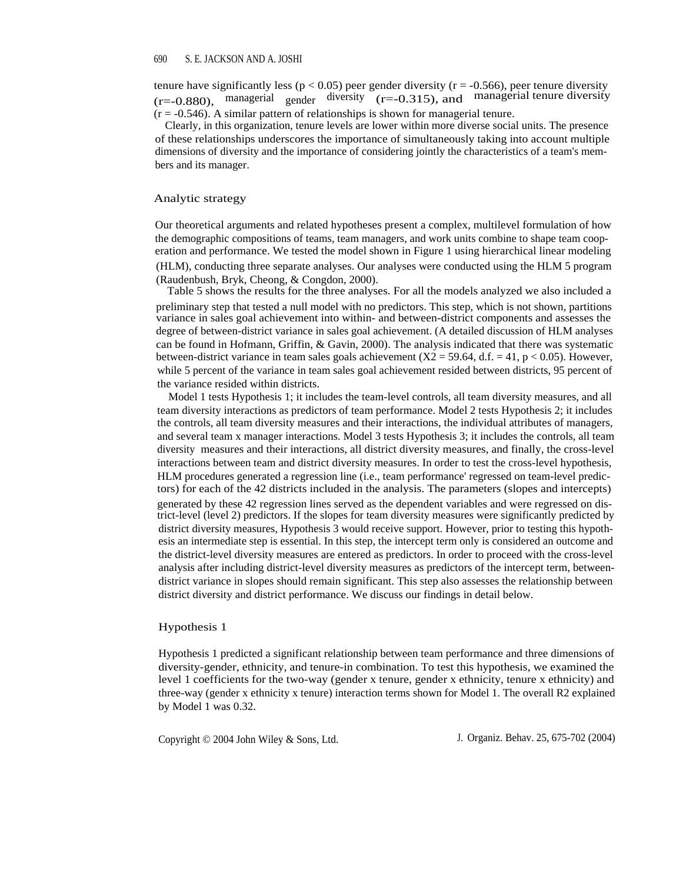tenure have significantly less ( $p < 0.05$ ) peer gender diversity ( $r = -0.566$ ), peer tenure diversity ( $r = -0.880$ ). managerial gender diversity ( $r = -0.315$ ), and managerial tenure diversity  $(r=-0.880)$ , managerial gender diversity  $(r=-0.315)$ , and managerial tenure diversity  $(r = -0.546)$ . A similar pattern of relationships is shown for managerial tenure.

Clearly, in this organization, tenure levels are lower within more diverse social units. The presence of these relationships underscores the importance of simultaneously taking into account multiple dimensions of diversity and the importance of considering jointly the characteristics of a team's members and its manager.

### Analytic strategy

Our theoretical arguments and related hypotheses present a complex, multilevel formulation of how the demographic compositions of teams, team managers, and work units combine to shape team cooperation and performance. We tested the model shown in Figure 1 using hierarchical linear modeling (HLM), conducting three separate analyses. Our analyses were conducted using the HLM 5 program

(Raudenbush, Bryk, Cheong, & Congdon, 2000).

Table 5 shows the results for the three analyses. For all the models analyzed we also included a preliminary step that tested a null model with no predictors. This step, which is not shown, partitions variance in sales goal achievement into within- and between-district components and assesses the degree of between-district variance in sales goal achievement. (A detailed discussion of HLM analyses can be found in Hofmann, Griffin, & Gavin, 2000). The analysis indicated that there was systematic between-district variance in team sales goals achievement ( $X2 = 59.64$ , d.f. = 41, p < 0.05). However, while 5 percent of the variance in team sales goal achievement resided between districts, 95 percent of the variance resided within districts.

Model 1 tests Hypothesis 1; it includes the team-level controls, all team diversity measures, and all team diversity interactions as predictors of team performance. Model 2 tests Hypothesis 2; it includes the controls, all team diversity measures and their interactions, the individual attributes of managers, and several team x manager interactions. Model 3 tests Hypothesis 3; it includes the controls, all team diversity measures and their interactions, all district diversity measures, and finally, the cross-level interactions between team and district diversity measures. In order to test the cross-level hypothesis, HLM procedures generated a regression line (i.e., team performance' regressed on team-level predictors) for each of the 42 districts included in the analysis. The parameters (slopes and intercepts)

generated by these 42 regression lines served as the dependent variables and were regressed on district-level (level 2) predictors. If the slopes for team diversity measures were significantly predicted by district diversity measures, Hypothesis 3 would receive support. However, prior to testing this hypothesis an intermediate step is essential. In this step, the intercept term only is considered an outcome and the district-level diversity measures are entered as predictors. In order to proceed with the cross-level analysis after including district-level diversity measures as predictors of the intercept term, betweendistrict variance in slopes should remain significant. This step also assesses the relationship between district diversity and district performance. We discuss our findings in detail below.

#### Hypothesis 1

Hypothesis 1 predicted a significant relationship between team performance and three dimensions of diversity-gender, ethnicity, and tenure-in combination. To test this hypothesis, we examined the level 1 coefficients for the two-way (gender x tenure, gender x ethnicity, tenure x ethnicity) and three-way (gender x ethnicity x tenure) interaction terms shown for Model 1. The overall R2 explained by Model 1 was 0.32.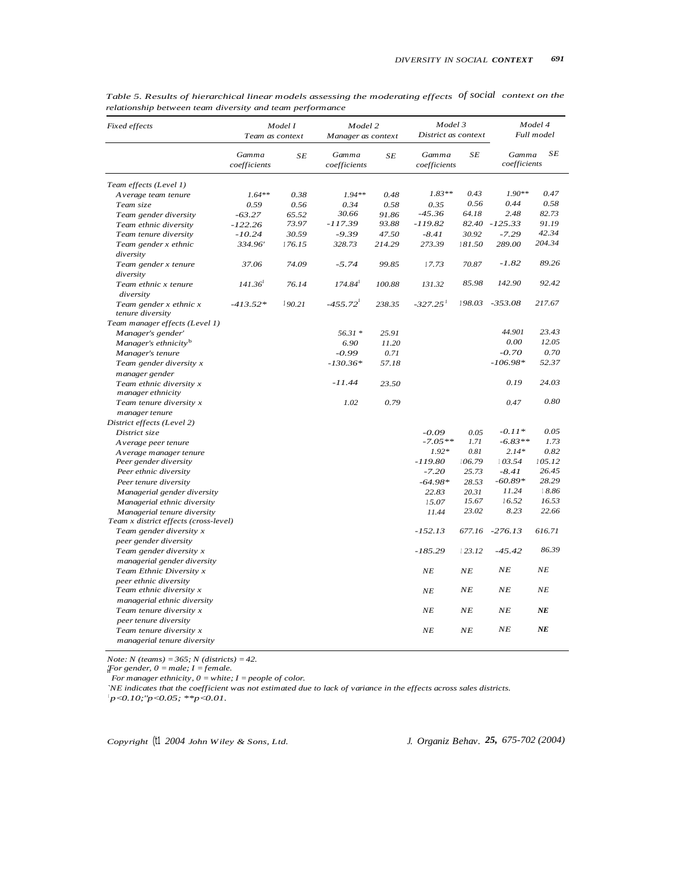| Fixed effects                                | Model I<br>Team as context |        | Model 2<br>Manager as context |        | Model 3<br>District as context |        |                       | Model 4<br>Full model |  |  |
|----------------------------------------------|----------------------------|--------|-------------------------------|--------|--------------------------------|--------|-----------------------|-----------------------|--|--|
|                                              | Gamma<br>coefficients      | SE     | Gamma<br>coefficients         | SE     | Gamma<br>coefficients          | SE     | Gamma<br>coefficients | SE                    |  |  |
| Team effects (Level 1)                       |                            |        |                               |        |                                |        |                       |                       |  |  |
| Average team tenure                          | $1.64**$                   | 0.38   | $1.94**$                      | 0.48   | $1.83**$                       | 0.43   | $1.90**$              | 0.47                  |  |  |
| Team size                                    | 0.59                       | 0.56   | 0.34                          | 0.58   | 0.35                           | 0.56   | 0.44                  | 0.58                  |  |  |
| Team gender diversity                        | $-63.27$                   | 65.52  | 30.66                         | 91.86  | $-45.36$                       | 64.18  | 2.48                  | 82.73                 |  |  |
| Team ethnic diversity                        | $-122.26$                  | 73.97  | $-117.39$                     | 93.88  | $-119.82$                      |        | 82.40 -125.33         | 91.19                 |  |  |
| Team tenure diversity                        | $-10.24$                   | 30.59  | $-9.39$                       | 47.50  | $-8.41$                        | 30.92  | $-7.29$               | 42.34                 |  |  |
| Team gender x ethnic                         | 334.96'                    | 176.15 | 328.73                        | 214.29 | 273.39                         | 181.50 | 289.00                | 204.34                |  |  |
| diversity                                    |                            |        |                               |        |                                |        |                       |                       |  |  |
| Team gender x tenure                         | 37.06                      | 74.09  | $-5.74$                       | 99.85  | 17.73                          | 70.87  | $-1.82$               | 89.26                 |  |  |
| diversity                                    |                            |        |                               |        |                                |        |                       |                       |  |  |
| Team ethnic x tenure                         | $141.36^{1}$               | 76.14  | $174.84^{1}$                  | 100.88 | 131.32                         | 85.98  | 142.90                | 92.42                 |  |  |
| diversity<br>Team gender $x$ ethnic $x$      | $-413.52*$                 | 190.21 | $-455.72^{1}$                 | 238.35 | $-327.25$ <sup>1</sup>         | 198.03 | $-353.08$             | 217.67                |  |  |
| tenure diversity                             |                            |        |                               |        |                                |        |                       |                       |  |  |
| Team manager effects (Level 1)               |                            |        |                               |        |                                |        |                       |                       |  |  |
| Manager's gender'                            |                            |        | $56.31*$                      | 25.91  |                                |        | 44.901                | 23.43                 |  |  |
| Manager's ethnicity <sup>b</sup>             |                            |        | 6.90                          | 11.20  |                                |        | 0.00                  | 12.05                 |  |  |
| Manager's tenure                             |                            |        | $-0.99$                       | 0.71   |                                |        | $-0.70$               | 0.70                  |  |  |
| Team gender diversity x<br>manager gender    |                            |        | $-130.36*$                    | 57.18  |                                |        | $-106.98*$            | 52.37                 |  |  |
| Team ethnic diversity x<br>manager ethnicity |                            |        | $-11.44$                      | 23.50  |                                |        | 0.19                  | 24.03                 |  |  |
| Team tenure diversity x                      |                            |        | 1.02                          | 0.79   |                                |        | 0.47                  | 0.80                  |  |  |
| manager tenure                               |                            |        |                               |        |                                |        |                       |                       |  |  |
| District effects (Level 2)                   |                            |        |                               |        |                                |        |                       |                       |  |  |
| District size                                |                            |        |                               |        | $-0.09$                        | 0.05   | $-0.11*$              | 0.05                  |  |  |
| A verage peer tenure                         |                            |        |                               |        | $-7.05**$                      | 1.71   | $-6.83**$             | 1.73                  |  |  |
| A verage manager tenure                      |                            |        |                               |        | $1.92*$                        | 0.81   | $2.14*$               | 0.82                  |  |  |
| Peer gender diversity                        |                            |        |                               |        | $-119.80$                      | 106.79 | 103.54                | 105.12                |  |  |
| Peer ethnic diversity                        |                            |        |                               |        | $-7.20$                        | 25.73  | $-8.41$               | 26.45                 |  |  |
| Peer tenure diversity                        |                            |        |                               |        | $-64.98*$                      | 28.53  | $-60.89*$             | 28.29                 |  |  |
| Managerial gender diversity                  |                            |        |                               |        | 22.83                          | 20.31  | 11.24                 | 18.86                 |  |  |
| Managerial ethnic diversity                  |                            |        |                               |        | 15.07                          | 15.67  | 16.52                 | 16.53                 |  |  |
| Managerial tenure diversity                  |                            |        |                               |        | 11.44                          | 23.02  | 8.23                  | 22.66                 |  |  |
| Team x district effects (cross-level)        |                            |        |                               |        |                                |        |                       |                       |  |  |
| Team gender diversity x                      |                            |        |                               |        | $-152.13$                      | 677.16 | $-276.13$             | 616.71                |  |  |
| peer gender diversity                        |                            |        |                               |        |                                |        |                       |                       |  |  |
| Team gender diversity x                      |                            |        |                               |        | $-185.29$                      | 123.12 | $-45.42$              | 86.39                 |  |  |
| managerial gender diversity                  |                            |        |                               |        |                                |        |                       |                       |  |  |
| Team Ethnic Diversity x                      |                            |        |                               |        | NE                             | NE     | NΕ                    | ΝE                    |  |  |
| peer ethnic diversity                        |                            |        |                               |        |                                |        |                       |                       |  |  |
| Team ethnic diversity x                      |                            |        |                               |        | NΕ                             | NE     | NE                    | NE                    |  |  |
| managerial ethnic diversity                  |                            |        |                               |        |                                |        |                       |                       |  |  |
| Team tenure diversity x                      |                            |        |                               |        | NΕ                             | NE     | NE                    | NE                    |  |  |
| peer tenure diversity                        |                            |        |                               |        |                                |        |                       |                       |  |  |
| Team tenure diversity x                      |                            |        |                               |        | NΕ                             | NE     | ΝE                    | NE                    |  |  |
| managerial tenure diversity                  |                            |        |                               |        |                                |        |                       |                       |  |  |

*Table 5. Results of hierarchical linear models assessing the moderating effects of social context on the relationship between team diversity and team performance*

*Note: N (teams) = 365; N (districts) = 42.*

 $'$ *For gender, 0 = male; I = female.* 

*For manager ethnicity, 0 = white; I = people of color.*

*`NE indicates that the coefficient was not estimated due to lack of variance in the effects across sales districts. <sup>1</sup> p<0.10;''p<0.05; \*\*p<0.01.*

*Copyright* (t1 *2004 John Wiley & Sons, Ltd.*

*J. Organiz Behav. 25, 675-702 (2004)*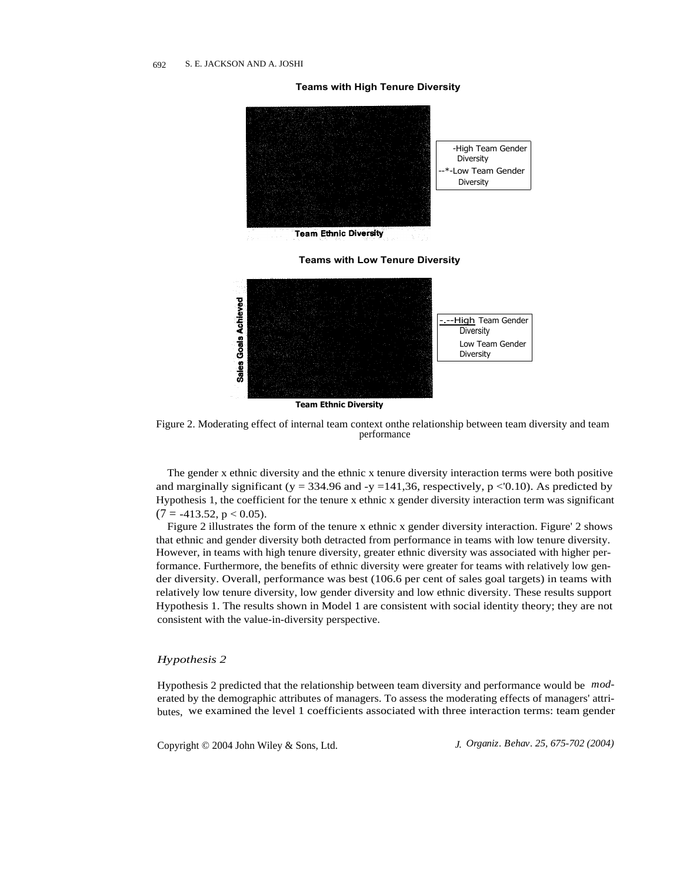#### **Teams with High Tenure Diversity**



**Team Ethnic Diversity**

Figure 2. Moderating effect of internal team context onthe relationship between team diversity and team performance

The gender x ethnic diversity and the ethnic x tenure diversity interaction terms were both positive and marginally significant (y = 334.96 and -y = 141,36, respectively, p < 0.10). As predicted by Hypothesis 1, the coefficient for the tenure x ethnic x gender diversity interaction term was significant  $(7 = -413.52, p < 0.05)$ .

Figure 2 illustrates the form of the tenure x ethnic x gender diversity interaction. Figure' 2 shows that ethnic and gender diversity both detracted from performance in teams with low tenure diversity. However, in teams with high tenure diversity, greater ethnic diversity was associated with higher performance. Furthermore, the benefits of ethnic diversity were greater for teams with relatively low gender diversity. Overall, performance was best (106.6 per cent of sales goal targets) in teams with relatively low tenure diversity, low gender diversity and low ethnic diversity. These results support Hypothesis 1. The results shown in Model 1 are consistent with social identity theory; they are not consistent with the value-in-diversity perspective.

# *Hypothesis 2*

Hypothesis 2 predicted that the relationship between team diversity and performance would be *mod*erated by the demographic attributes of managers. To assess the moderating effects of managers' attributes, we examined the level 1 coefficients associated with three interaction terms: team gender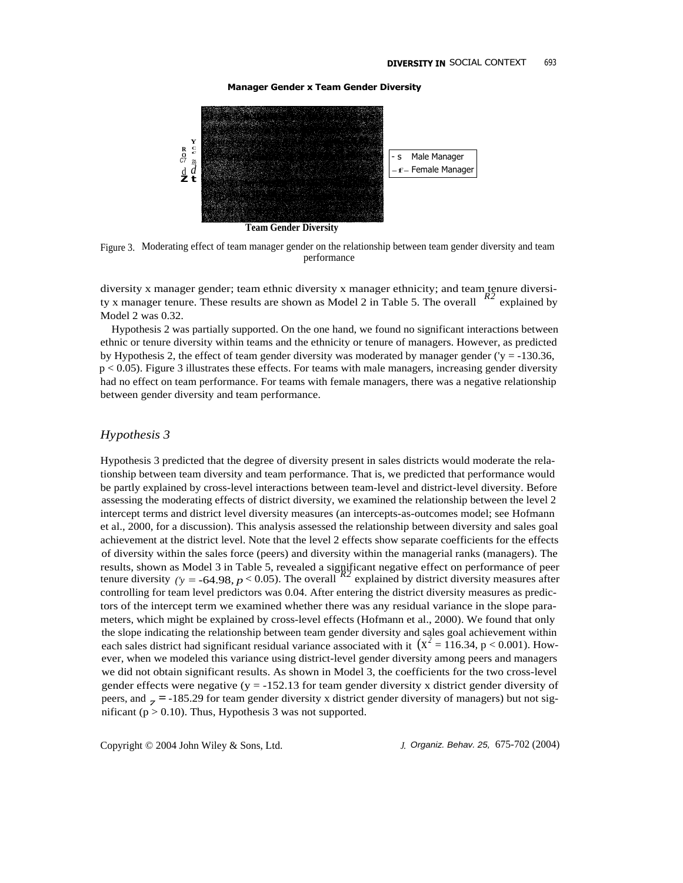**Manager Gender x Team Gender Diversity**



Figure 3. Moderating effect of team manager gender on the relationship between team gender diversity and team performance

diversity x manager gender; team ethnic diversity x manager ethnicity; and team tenure diversity x manager tenure. These results are shown as Model 2 in Table 5. The overall *R2* explained by Model 2 was 0.32.

Hypothesis 2 was partially supported. On the one hand, we found no significant interactions between ethnic or tenure diversity within teams and the ethnicity or tenure of managers. However, as predicted by Hypothesis 2, the effect of team gender diversity was moderated by manager gender ( $v = -130.36$ , p < 0.05). Figure 3 illustrates these effects. For teams with male managers, increasing gender diversity had no effect on team performance. For teams with female managers, there was a negative relationship between gender diversity and team performance.

# *Hypothesis 3*

Hypothesis 3 predicted that the degree of diversity present in sales districts would moderate the relationship between team diversity and team performance. That is, we predicted that performance would be partly explained by cross-level interactions between team-level and district-level diversity. Before assessing the moderating effects of district diversity, we examined the relationship between the level 2 intercept terms and district level diversity measures (an intercepts-as-outcomes model; see Hofmann et al., 2000, for a discussion). This analysis assessed the relationship between diversity and sales goal achievement at the district level. Note that the level 2 effects show separate coefficients for the effects of diversity within the sales force (peers) and diversity within the managerial ranks (managers). The results, shown as Model 3 in Table 5, revealed a significant negative effect on performance of peer<br>tenure diversity ( $y = -64.98$ ,  $p < 0.05$ ). The overall  $^{R2}$  explained by district diversity measures after controlling for team level predictors was 0.04. After entering the district diversity measures as predictors of the intercept term we examined whether there was any residual variance in the slope parameters, which might be explained by cross-level effects (Hofmann et al., 2000). We found that only the slope indicating the relationship between team gender diversity and sales goal achievement within each sales district had significant residual variance associated with it  $(X^2 = 116.34, p < 0.001)$ . However, when we modeled this variance using district-level gender diversity among peers and managers we did not obtain significant results. As shown in Model 3, the coefficients for the two cross-level gender effects were negative ( $y = -152.13$  for team gender diversity x district gender diversity of peers, and  $7 = -185.29$  for team gender diversity x district gender diversity of managers) but not significant ( $p > 0.10$ ). Thus, Hypothesis 3 was not supported.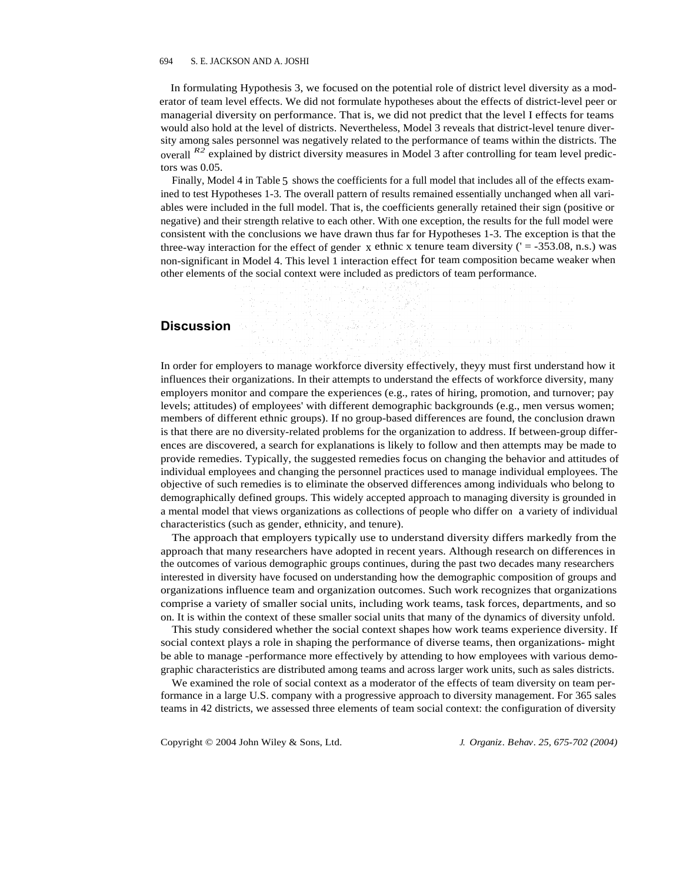In formulating Hypothesis 3, we focused on the potential role of district level diversity as a moderator of team level effects. We did not formulate hypotheses about the effects of district-level peer or managerial diversity on performance. That is, we did not predict that the level I effects for teams would also hold at the level of districts. Nevertheless, Model 3 reveals that district-level tenure diversity among sales personnel was negatively related to the performance of teams within the districts. The overall <sup>R2</sup> explained by district diversity measures in Model 3 after controlling for team level predictors was 0.05.

Finally, Model 4 in Table 5 shows the coefficients for a full model that includes all of the effects examined to test Hypotheses 1-3. The overall pattern of results remained essentially unchanged when all variables were included in the full model. That is, the coefficients generally retained their sign (positive or negative) and their strength relative to each other. With one exception, the results for the full model were consistent with the conclusions we have drawn thus far for Hypotheses 1-3. The exception is that the three-way interaction for the effect of gender x ethnic x tenure team diversity ( $=$  -353.08, n.s.) was non-significant in Model 4. This level 1 interaction effect for team composition became weaker when other elements of the social context were included as predictors of team performance.

# **Discussion**

In order for employers to manage workforce diversity effectively, theyy must first understand how it influences their organizations. In their attempts to understand the effects of workforce diversity, many employers monitor and compare the experiences (e.g., rates of hiring, promotion, and turnover; pay levels; attitudes) of employees' with different demographic backgrounds (e.g., men versus women; members of different ethnic groups). If no group-based differences are found, the conclusion drawn is that there are no diversity-related problems for the organization to address. If between-group differences are discovered, a search for explanations is likely to follow and then attempts may be made to provide remedies. Typically, the suggested remedies focus on changing the behavior and attitudes of individual employees and changing the personnel practices used to manage individual employees. The objective of such remedies is to eliminate the observed differences among individuals who belong to demographically defined groups. This widely accepted approach to managing diversity is grounded in a mental model that views organizations as collections of people who differ on a variety of individual characteristics (such as gender, ethnicity, and tenure).

2014년 1월 21일 - 1월 21일 3월 21일 3월 21일 3월 21일 3월 21일 3월 21일 3월 21일 3월 21일 3월 21일 3월 21일 3월 21일 3월 21일 3<br>대한민국의 대한민국의 대한민국의 대한민국의 대한민국의 대한민국의 대한민국의 대한민국의 대한민국의 대한민국의 대한민국의 대한민국의 대한민국의 대한민국의 대한민국의 대한민국의 대한민국의 대한민국의 대한

The approach that employers typically use to understand diversity differs markedly from the approach that many researchers have adopted in recent years. Although research on differences in the outcomes of various demographic groups continues, during the past two decades many researchers interested in diversity have focused on understanding how the demographic composition of groups and organizations influence team and organization outcomes. Such work recognizes that organizations comprise a variety of smaller social units, including work teams, task forces, departments, and so on. It is within the context of these smaller social units that many of the dynamics of diversity unfold.

This study considered whether the social context shapes how work teams experience diversity. If social context plays a role in shaping the performance of diverse teams, then organizations- might be able to manage -performance more effectively by attending to how employees with various demographic characteristics are distributed among teams and across larger work units, such as sales districts.

We examined the role of social context as a moderator of the effects of team diversity on team performance in a large U.S. company with a progressive approach to diversity management. For 365 sales teams in 42 districts, we assessed three elements of team social context: the configuration of diversity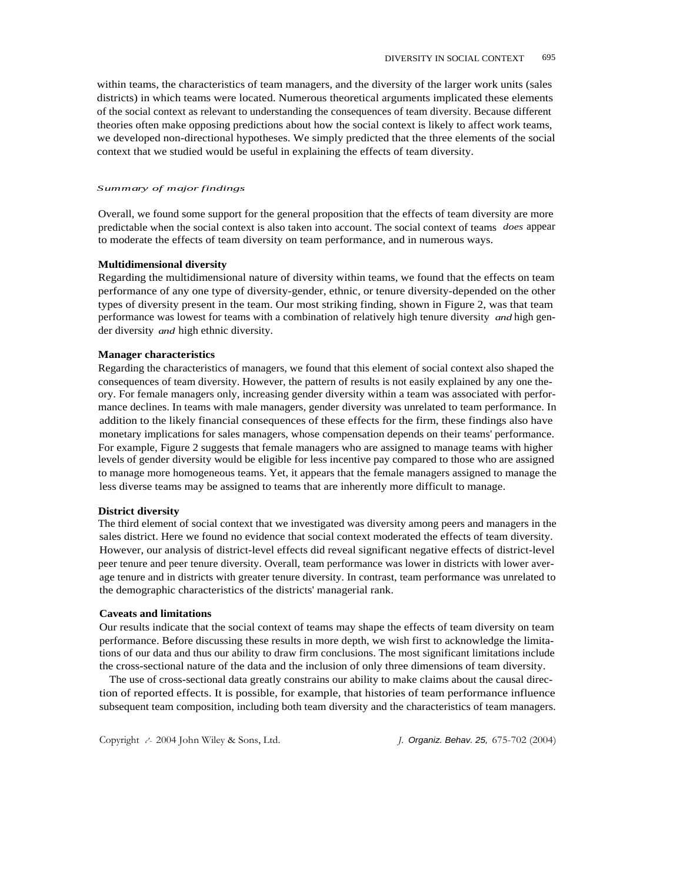within teams, the characteristics of team managers, and the diversity of the larger work units (sales districts) in which teams were located. Numerous theoretical arguments implicated these elements of the social context as relevant to understanding the consequences of team diversity. Because different theories often make opposing predictions about how the social context is likely to affect work teams, we developed non-directional hypotheses. We simply predicted that the three elements of the social context that we studied would be useful in explaining the effects of team diversity.

#### *Summary of major findings*

Overall, we found some support for the general proposition that the effects of team diversity are more predictable when the social context is also taken into account. The social context of teams *does* appear to moderate the effects of team diversity on team performance, and in numerous ways.

#### **Multidimensional diversity**

Regarding the multidimensional nature of diversity within teams, we found that the effects on team performance of any one type of diversity-gender, ethnic, or tenure diversity-depended on the other types of diversity present in the team. Our most striking finding, shown in Figure 2, was that team performance was lowest for teams with a combination of relatively high tenure diversity *and* high gender diversity *and* high ethnic diversity.

#### **Manager characteristics**

Regarding the characteristics of managers, we found that this element of social context also shaped the consequences of team diversity. However, the pattern of results is not easily explained by any one theory. For female managers only, increasing gender diversity within a team was associated with performance declines. In teams with male managers, gender diversity was unrelated to team performance. In addition to the likely financial consequences of these effects for the firm, these findings also have monetary implications for sales managers, whose compensation depends on their teams' performance. For example, Figure 2 suggests that female managers who are assigned to manage teams with higher levels of gender diversity would be eligible for less incentive pay compared to those who are assigned to manage more homogeneous teams. Yet, it appears that the female managers assigned to manage the less diverse teams may be assigned to teams that are inherently more difficult to manage.

## **District diversity**

The third element of social context that we investigated was diversity among peers and managers in the sales district. Here we found no evidence that social context moderated the effects of team diversity. However, our analysis of district-level effects did reveal significant negative effects of district-level peer tenure and peer tenure diversity. Overall, team performance was lower in districts with lower average tenure and in districts with greater tenure diversity. In contrast, team performance was unrelated to the demographic characteristics of the districts' managerial rank.

#### **Caveats and limitations**

Our results indicate that the social context of teams may shape the effects of team diversity on team performance. Before discussing these results in more depth, we wish first to acknowledge the limitations of our data and thus our ability to draw firm conclusions. The most significant limitations include the cross-sectional nature of the data and the inclusion of only three dimensions of team diversity.

The use of cross-sectional data greatly constrains our ability to make claims about the causal direction of reported effects. It is possible, for example, that histories of team performance influence subsequent team composition, including both team diversity and the characteristics of team managers.

Copyright *c'-* 2004 John Wiley & Sons, Ltd.

*J.* Organiz. Behav. 25, 675-702 (2004)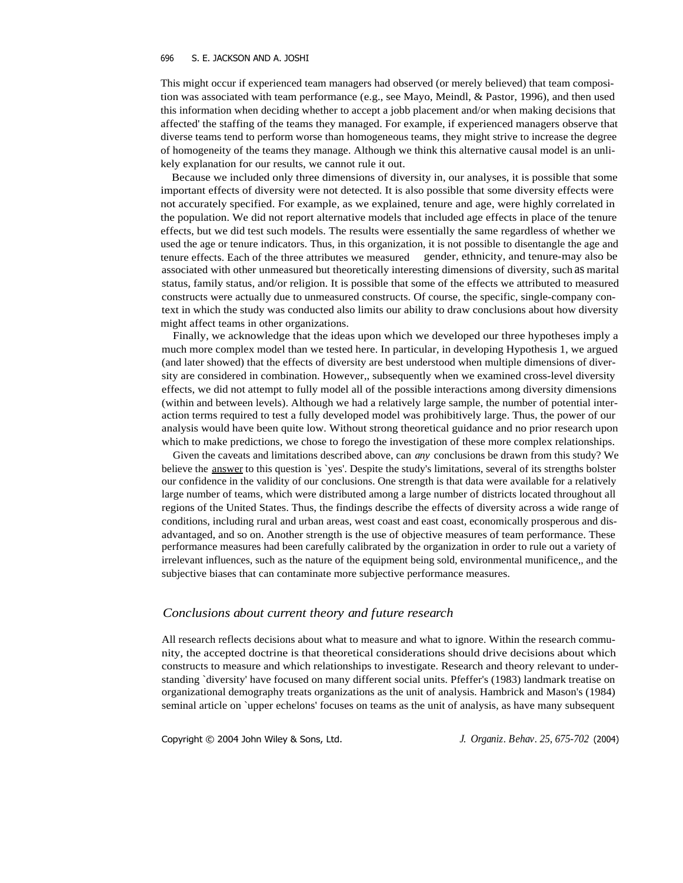This might occur if experienced team managers had observed (or merely believed) that team composition was associated with team performance (e.g., see Mayo, Meindl, & Pastor, 1996), and then used this information when deciding whether to accept a jobb placement and/or when making decisions that affected' the staffing of the teams they managed. For example, if experienced managers observe that diverse teams tend to perform worse than homogeneous teams, they might strive to increase the degree of homogeneity of the teams they manage. Although we think this alternative causal model is an unlikely explanation for our results, we cannot rule it out.

Because we included only three dimensions of diversity in, our analyses, it is possible that some important effects of diversity were not detected. It is also possible that some diversity effects were not accurately specified. For example, as we explained, tenure and age, were highly correlated in the population. We did not report alternative models that included age effects in place of the tenure effects, but we did test such models. The results were essentially the same regardless of whether we used the age or tenure indicators. Thus, in this organization, it is not possible to disentangle the age and tenure effects. Each of the three attributes we measured gender, ethnicity, and tenure-may also be associated with other unmeasured but theoretically interesting dimensions of diversity, such as marital status, family status, and/or religion. It is possible that some of the effects we attributed to measured constructs were actually due to unmeasured constructs. Of course, the specific, single-company context in which the study was conducted also limits our ability to draw conclusions about how diversity might affect teams in other organizations.

Finally, we acknowledge that the ideas upon which we developed our three hypotheses imply a much more complex model than we tested here. In particular, in developing Hypothesis 1, we argued (and later showed) that the effects of diversity are best understood when multiple dimensions of diversity are considered in combination. However,, subsequently when we examined cross-level diversity effects, we did not attempt to fully model all of the possible interactions among diversity dimensions (within and between levels). Although we had a relatively large sample, the number of potential interaction terms required to test a fully developed model was prohibitively large. Thus, the power of our analysis would have been quite low. Without strong theoretical guidance and no prior research upon which to make predictions, we chose to forego the investigation of these more complex relationships.

Given the caveats and limitations described above, can *any* conclusions be drawn from this study? We believe the answer to this question is `yes'. Despite the study's limitations, several of its strengths bolster our confidence in the validity of our conclusions. One strength is that data were available for a relatively large number of teams, which were distributed among a large number of districts located throughout all regions of the United States. Thus, the findings describe the effects of diversity across a wide range of conditions, including rural and urban areas, west coast and east coast, economically prosperous and disadvantaged, and so on. Another strength is the use of objective measures of team performance. These performance measures had been carefully calibrated by the organization in order to rule out a variety of irrelevant influences, such as the nature of the equipment being sold, environmental munificence,, and the subjective biases that can contaminate more subjective performance measures.

# *Conclusions about current theory and future research*

All research reflects decisions about what to measure and what to ignore. Within the research community, the accepted doctrine is that theoretical considerations should drive decisions about which constructs to measure and which relationships to investigate. Research and theory relevant to understanding `diversity' have focused on many different social units. Pfeffer's (1983) landmark treatise on organizational demography treats organizations as the unit of analysis. Hambrick and Mason's (1984) seminal article on `upper echelons' focuses on teams as the unit of analysis, as have many subsequent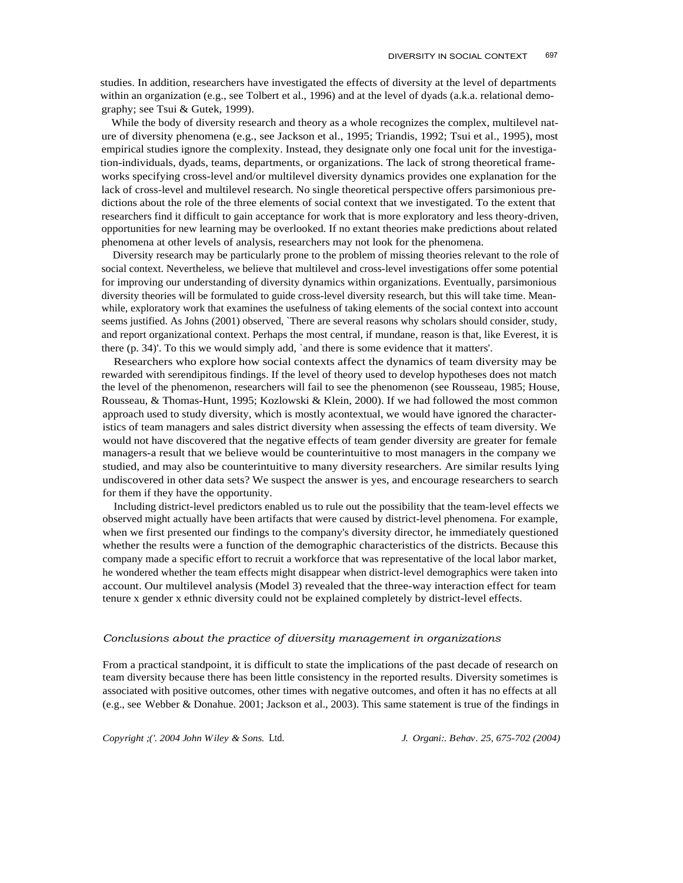studies. In addition, researchers have investigated the effects of diversity at the level of departments within an organization (e.g., see Tolbert et al., 1996) and at the level of dyads (a.k.a. relational demography; see Tsui & Gutek, 1999).

While the body of diversity research and theory as a whole recognizes the complex, multilevel nature of diversity phenomena (e.g., see Jackson et al., 1995; Triandis, 1992; Tsui et al., 1995), most empirical studies ignore the complexity. Instead, they designate only one focal unit for the investigation-individuals, dyads, teams, departments, or organizations. The lack of strong theoretical frameworks specifying cross-level and/or multilevel diversity dynamics provides one explanation for the lack of cross-level and multilevel research. No single theoretical perspective offers parsimonious predictions about the role of the three elements of social context that we investigated. To the extent that researchers find it difficult to gain acceptance for work that is more exploratory and less theory-driven, opportunities for new learning may be overlooked. If no extant theories make predictions about related phenomena at other levels of analysis, researchers may not look for the phenomena.

Diversity research may be particularly prone to the problem of missing theories relevant to the role of social context. Nevertheless, we believe that multilevel and cross-level investigations offer some potential for improving our understanding of diversity dynamics within organizations. Eventually, parsimonious diversity theories will be formulated to guide cross-level diversity research, but this will take time. Meanwhile, exploratory work that examines the usefulness of taking elements of the social context into account seems justified. As Johns (2001) observed, `There are several reasons why scholars should consider, study, and report organizational context. Perhaps the most central, if mundane, reason is that, like Everest, it is there (p. 34)'. To this we would simply add, `and there is some evidence that it matters'.

Researchers who explore how social contexts affect the dynamics of team diversity may be rewarded with serendipitous findings. If the level of theory used to develop hypotheses does not match the level of the phenomenon, researchers will fail to see the phenomenon (see Rousseau, 1985; House, Rousseau, & Thomas-Hunt, 1995; Kozlowski & Klein, 2000). If we had followed the most common approach used to study diversity, which is mostly acontextual, we would have ignored the characteristics of team managers and sales district diversity when assessing the effects of team diversity. We would not have discovered that the negative effects of team gender diversity are greater for female managers-a result that we believe would be counterintuitive to most managers in the company we studied, and may also be counterintuitive to many diversity researchers. Are similar results lying undiscovered in other data sets? We suspect the answer is yes, and encourage researchers to search for them if they have the opportunity.

Including district-level predictors enabled us to rule out the possibility that the team-level effects we observed might actually have been artifacts that were caused by district-level phenomena. For example, when we first presented our findings to the company's diversity director, he immediately questioned whether the results were a function of the demographic characteristics of the districts. Because this company made a specific effort to recruit a workforce that was representative of the local labor market, he wondered whether the team effects might disappear when district-level demographics were taken into account. Our multilevel analysis (Model 3) revealed that the three-way interaction effect for team tenure x gender x ethnic diversity could not be explained completely by district-level effects.

# *Conclusions about the practice of diversity management in organizations*

From a practical standpoint, it is difficult to state the implications of the past decade of research on team diversity because there has been little consistency in the reported results. Diversity sometimes is associated with positive outcomes, other times with negative outcomes, and often it has no effects at all (e.g., see Webber & Donahue. 2001; Jackson et al., 2003). This same statement is true of the findings in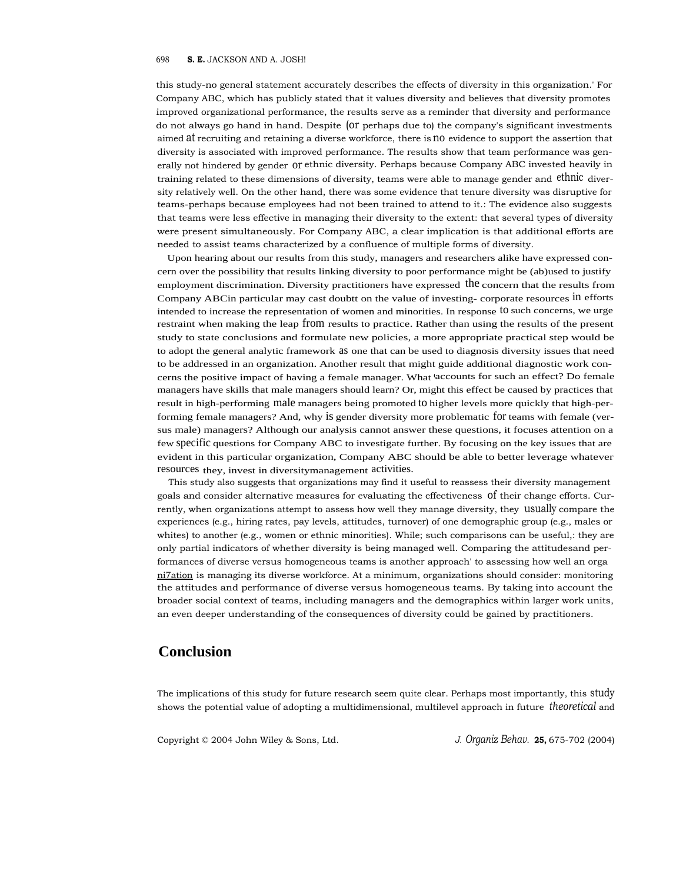this study-no general statement accurately describes the effects of diversity in this organization.' For Company ABC, which has publicly stated that it values diversity and believes that diversity promotes improved organizational performance, the results serve as a reminder that diversity and performance do not always go hand in hand. Despite (or perhaps due to) the company's significant investments aimed at recruiting and retaining a diverse workforce, there is no evidence to support the assertion that diversity is associated with improved performance. The results show that team performance was generally not hindered by gender or ethnic diversity. Perhaps because Company ABC invested heavily in training related to these dimensions of diversity, teams were able to manage gender and ethnic diversity relatively well. On the other hand, there was some evidence that tenure diversity was disruptive for teams-perhaps because employees had not been trained to attend to it.: The evidence also suggests that teams were less effective in managing their diversity to the extent: that several types of diversity were present simultaneously. For Company ABC, a clear implication is that additional efforts are needed to assist teams characterized by a confluence of multiple forms of diversity.

Upon hearing about our results from this study, managers and researchers alike have expressed concern over the possibility that results linking diversity to poor performance might be (ab)used to justify employment discrimination. Diversity practitioners have expressed the concern that the results from Company ABCin particular may cast doubtt on the value of investing- corporate resources in efforts intended to increase the representation of women and minorities. In response to such concerns, we urge restraint when making the leap from results to practice. Rather than using the results of the present study to state conclusions and formulate new policies, a more appropriate practical step would be to adopt the general analytic framework as one that can be used to diagnosis diversity issues that need to be addressed in an organization. Another result that might guide additional diagnostic work concerns the positive impact of having a female manager. What •accounts for such an effect? Do female managers have skills that male managers should learn? Or, might this effect be caused by practices that result in high-performing male managers being promoted to higher levels more quickly that high-performing female managers? And, why is gender diversity more problematic for teams with female (versus male) managers? Although our analysis cannot answer these questions, it focuses attention on a few specific questions for Company ABC to investigate further. By focusing on the key issues that are evident in this particular organization, Company ABC should be able to better leverage whatever resources they, invest in diversitymanagement activities.

This study also suggests that organizations may find it useful to reassess their diversity management goals and consider alternative measures for evaluating the effectiveness of their change efforts. Currently, when organizations attempt to assess how well they manage diversity, they usually compare the experiences (e.g., hiring rates, pay levels, attitudes, turnover) of one demographic group (e.g., males or whites) to another (e.g., women or ethnic minorities). While; such comparisons can be useful,: they are only partial indicators of whether diversity is being managed well. Comparing the attitudesand performances of diverse versus homogeneous teams is another approach' to assessing how well an orga ni7ation is managing its diverse workforce. At a minimum, organizations should consider: monitoring the attitudes and performance of diverse versus homogeneous teams. By taking into account the broader social context of teams, including managers and the demographics within larger work units, an even deeper understanding of the consequences of diversity could be gained by practitioners.

# **Conclusion**

The implications of this study for future research seem quite clear. Perhaps most importantly, this study shows the potential value of adopting a multidimensional, multilevel approach in future *theoretical* and

Copyright © 2004 John Wiley & Sons, Ltd.

*J. Organiz Behav.* **25,** 675-702 (2004)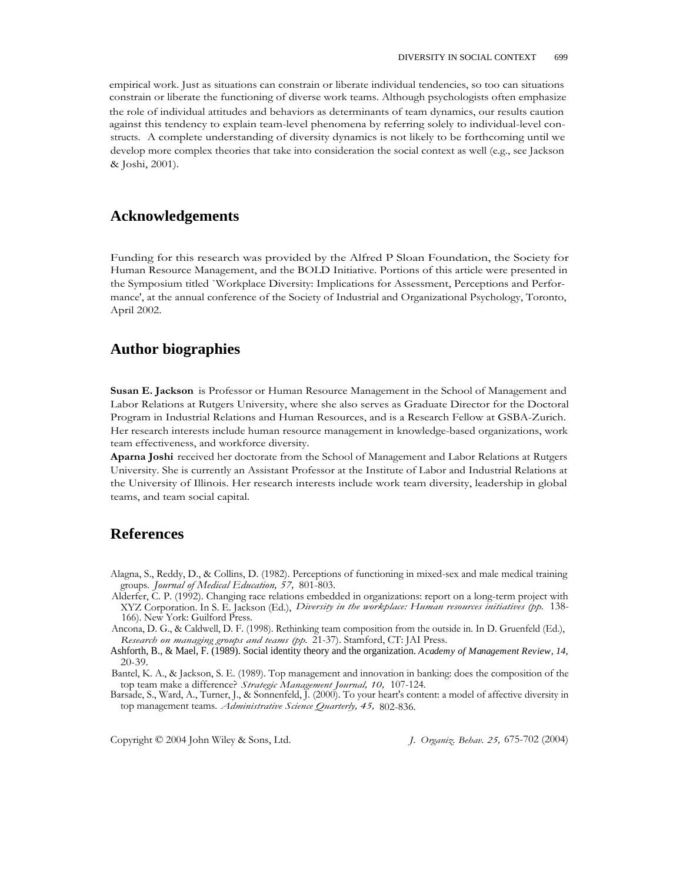empirical work. Just as situations can constrain or liberate individual tendencies, so too can situations constrain or liberate the functioning of diverse work teams. Although psychologists often emphasize the role of individual attitudes and behaviors as determinants of team dynamics, our results caution against this tendency to explain team-level phenomena by referring solely to individual-level constructs. A complete understanding of diversity dynamics is not likely to be forthcoming until we develop more complex theories that take into consideration the social context as well (e.g., see Jackson & Joshi, 2001).

# **Acknowledgements**

Funding for this research was provided by the Alfred P Sloan Foundation, the Society for Human Resource Management, and the BOLD Initiative. Portions of this article were presented in the Symposium titled `Workplace Diversity: Implications for Assessment, Perceptions and Performance', at the annual conference of the Society of Industrial and Organizational Psychology, Toronto, April 2002.

# **Author biographies**

**Susan E. Jackson** is Professor or Human Resource Management in the School of Management and Labor Relations at Rutgers University, where she also serves as Graduate Director for the Doctoral Program in Industrial Relations and Human Resources, and is a Research Fellow at GSBA-Zurich. Her research interests include human resource management in knowledge-based organizations, work team effectiveness, and workforce diversity.

**Aparna Joshi** received her doctorate from the School of Management and Labor Relations at Rutgers University. She is currently an Assistant Professor at the Institute of Labor and Industrial Relations at the University of Illinois. Her research interests include work team diversity, leadership in global teams, and team social capital.

# **References**

- Alagna, S., Reddy, D., & Collins, D. (1982). Perceptions of functioning in mixed-sex and male medical training groups. *Journal of Medical Education, 57,* 801-803.
- Alderfer, C. P. (1992). Changing race relations embedded in organizations: report on a long-term project with XYZ Corporation. In S. E. Jackson (Ed.), *Diversity in the workplace: Human resources initiatives (pp.* 138- 166). New York: Guilford Press.
- Ancona, D. G., & Caldwell, D. F. (1998). Rethinking team composition from the outside in. In D. Gruenfeld (Ed.), *Research on managing groups and teams (pp.* 21-37). Stamford, CT: JAI Press.
- Ashforth, B., & Mael, F. (1989). Social identity theory and the organization. *Academy of Management Review, 14,* 20-39.
- Bantel, K. A., & Jackson, S. E. (1989). Top management and innovation in banking: does the composition of the top team make a difference? *Strategic Management Journal, 10,* 107-124.
- Barsade, S., Ward, A., Turner, J., & Sonnenfeld, J. (2000). To your heart's content: a model of affective diversity in top management teams. *Administrative Science Quarterly, 45,* 802-836.

Copyright © 2004 John Wiley & Sons, Ltd.

*J. Organiz. Behav. 25,* 675-702 (2004)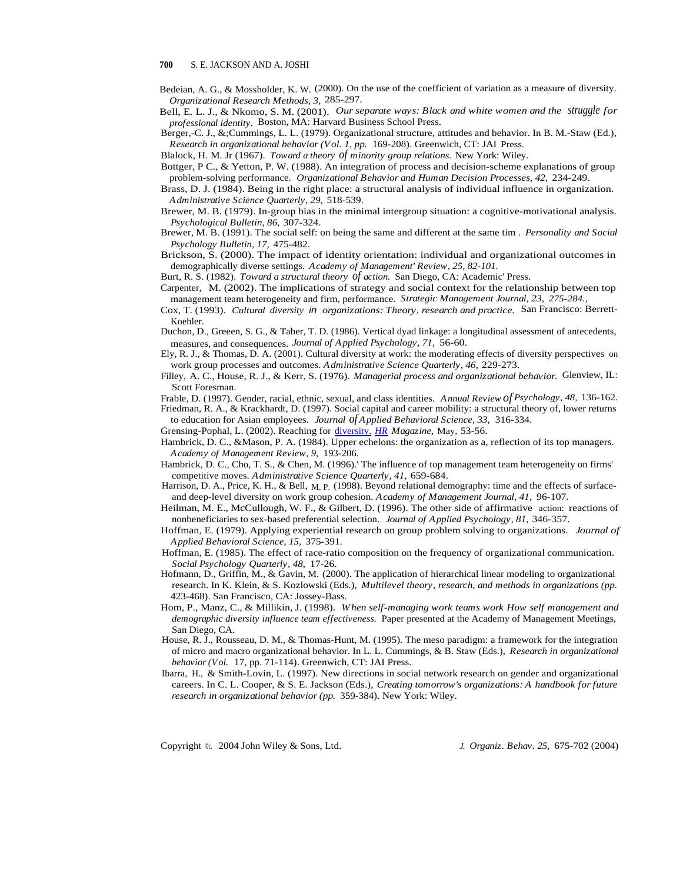- Bedeian, A. G., & Mossholder, K. W. (2000). On the use of the coefficient of variation as a measure of diversity. *Organizational Research Methods, 3,* 285-297.
- Bell, E. L. J., & Nkomo, S. M. (2001). *Our separate ways: Black and white women and the struggle for professional identity.* Boston, MA: Harvard Business School Press.
- Berger,-C. J., &;Cummings, L. L. (1979). Organizational structure, attitudes and behavior. In B. M.-Staw (Ed.), *Research in organizational behavior (Vol. 1, pp.* 169-208). Greenwich, CT: JAI Press.
- Blalock, H. M. Jr (1967). *Toward a theory of minority group relations.* New York: Wiley.
- Bottger, P C., & Yetton, P. W. (1988). An integration of process and decision-scheme explanations of group problem-solving performance. *Organizational Behavior and Human Decision Processes, 42,* 234-249.
- Brass, D. J. (1984). Being in the right place: a structural analysis of individual influence in organization. *Administrative Science Quarterly, 29,* 518-539.
- Brewer, M. B. (1979). In-group bias in the minimal intergroup situation: a cognitive-motivational analysis. *Psychological Bulletin, 86,* 307-324.
- Brewer, M. B. (1991). The social self: on being the same and different at the same tim . *Personality and Social Psychology Bulletin, 17,* 475-482.
- Brickson, S. (2000). The impact of identity orientation: individual and organizational outcomes in demographically diverse settings. *Academy of Management' Review, 25, 82-101.*
- Burt, R. S. (1982). *Toward a structural theory of action.* San Diego, CA: Academic' Press.
- Carpenter, M. (2002). The implications of strategy and social context for the relationship between top management team heterogeneity and firm, performance. *Strategic Management Journal, 23, 275-284.,*
- Cox, T. (1993). *Cultural diversity* in *organizations: Theory, research and practice.* San Francisco: Berrett-Koehler.
- Duchon, D., Greeen, S. G., & Taber, T. D. (1986). Vertical dyad linkage: a longitudinal assessment of antecedents, measures, and consequences. *Journal of Applied Psychology, 71,* 56-60.
- Ely, R. J., & Thomas, D. A. (2001). Cultural diversity at work: the moderating effects of diversity perspectives on work group processes and outcomes. *Administrative Science Quarterly, 46,* 229-273.
- Filley, A. C., House, R. J., & Kerr, S. (1976). *Managerial process and organizational behavior.* Glenview, IL: Scott Foresman.
- Frable, D. (1997). Gender, racial, ethnic, sexual, and class identities. *Annual ReviewofPsychology, 48,* 136-162.
- Friedman, R. A., & Krackhardt, D. (1997). Social capital and career mobility: a structural theory of, lower returns to education for Asian employees. *Journal ofApplied Behavioral Science, 33,* 316-334.
- Grensing-Pophal, L. (2002). Reaching for [diversity.](http://diversity.HR) *[HR](http://diversity.HR) Magazine,* May, 53-56.
- Hambrick, D. C., &Mason, P. A. (1984). Upper echelons: the organization as a, reflection of its top managers. *Academy of Management Review, 9,* 193-206.
- Hambrick, D. C., Cho, T. S., & Chen, M. (1996).' The influence of top management team heterogeneity on firms' competitive moves. *Administrative Science Quarterly, 41,* 659-684.
- Harrison, D. A., Price, K. H., & Bell, M. P. (1998). Beyond relational demography: time and the effects of surfaceand deep-level diversity on work group cohesion. *Academy of Management Journal, 41,* 96-107.
- Heilman, M. E., McCullough, W. F., & Gilbert, D. (1996). The other side of affirmative action: reactions of nonbeneficiaries to sex-based preferential selection. *Journal of Applied Psychology, 81,* 346-357.
- Hoffman, E. (1979). Applying experiential research on group problem solving to organizations. *Journal of Applied Behavioral Science, 15,* 375-391.
- Hoffman, E. (1985). The effect of race-ratio composition on the frequency of organizational communication. *Social Psychology Quarterly, 48,* 17-26.
- Hofmann, D., Griffin, M., & Gavin, M. (2000). The application of hierarchical linear modeling to organizational research. In K. Klein, & S. Kozlowski (Eds.), *Multilevel theory, research, and methods in organizations (pp.* 423-468). San Francisco, CA: Jossey-Bass.
- Hom, P., Manz, C., & Millikin, J. (1998). *When self-managing work teams work How self management and demographic diversity influence team effectiveness.* Paper presented at the Academy of Management Meetings, San Diego, CA.
- House, R. J., Rousseau, D. M., & Thomas-Hunt, M. (1995). The meso paradigm: a framework for the integration of micro and macro organizational behavior. In L. L. Cummings, & B. Staw (Eds.), *Research in organizational behavior (Vol.* 17, pp. 71-114). Greenwich, CT: JAI Press.
- Ibarra, H., & Smith-Lovin, L. (1997). New directions in social network research on gender and organizational careers. In C. L. Cooper, & S. E. Jackson (Eds.), *Creating tomorrow's organizations: A handbook for future research in organizational behavior (pp.* 359-384). New York: Wiley.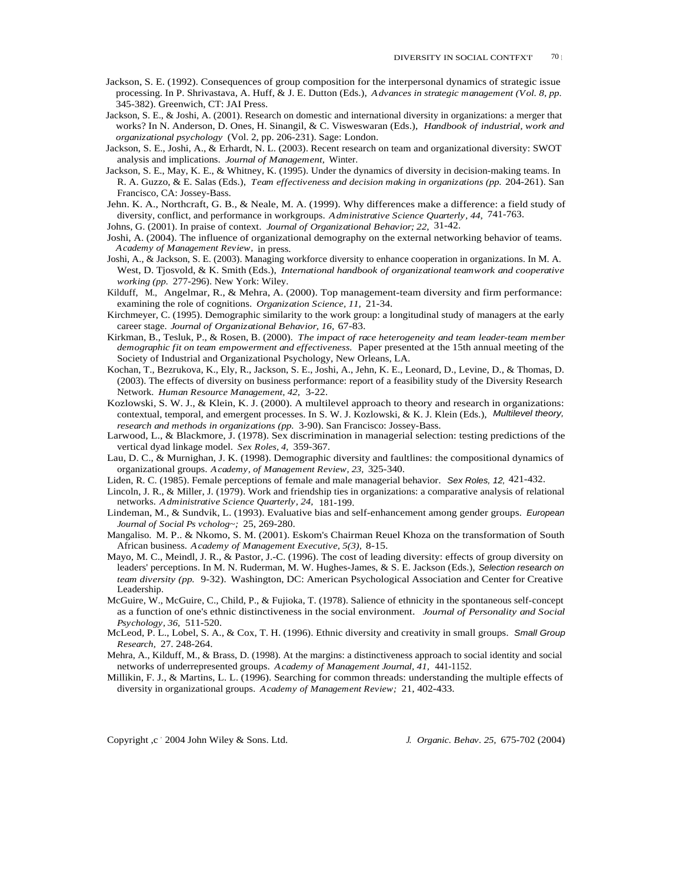- Jackson, S. E. (1992). Consequences of group composition for the interpersonal dynamics of strategic issue processing. In P. Shrivastava, A. Huff, & J. E. Dutton (Eds.), *Advances in strategic management (Vol. 8, pp.* 345-382). Greenwich, CT: JAI Press.
- Jackson, S. E., & Joshi, A. (2001). Research on domestic and international diversity in organizations: a merger that works? In N. Anderson, D. Ones, H. Sinangil, & C. Visweswaran (Eds.), *Handbook of industrial, work and organizational psychology* (Vol. 2, pp. 206-231). Sage: London.
- Jackson, S. E., Joshi, A., & Erhardt, N. L. (2003). Recent research on team and organizational diversity: SWOT analysis and implications. *Journal of Management,* Winter.
- Jackson, S. E., May, K. E., & Whitney, K. (1995). Under the dynamics of diversity in decision-making teams. In R. A. Guzzo, & E. Salas (Eds.), *Team effectiveness and decision making in organizations (pp.* 204-261). San Francisco, CA: Jossey-Bass.
- Jehn. K. A., Northcraft, G. B., & Neale, M. A. (1999). Why differences make a difference: a field study of diversity, conflict, and performance in workgroups. *Administrative Science Quarterly, 44,* 741-763.
- Johns, G. (2001). In praise of context. *Journal of Organizational Behavior; 22,* 31-42.
- Joshi, A. (2004). The influence of organizational demography on the external networking behavior of teams. *Academy of Management Review,* in press.
- Joshi, A., & Jackson, S. E. (2003). Managing workforce diversity to enhance cooperation in organizations. In M. A. West, D. Tjosvold, & K. Smith (Eds.), *International handbook of organizational teamwork and cooperative working (pp.* 277-296). New York: Wiley.
- Kilduff, M., Angelmar, R., & Mehra, A. (2000). Top management-team diversity and firm performance: examining the role of cognitions. *Organization Science, 11,* 21-34.
- Kirchmeyer, C. (1995). Demographic similarity to the work group: a longitudinal study of managers at the early career stage. *Journal of Organizational Behavior, 16,* 67-83.
- Kirkman, B., Tesluk, P., & Rosen, B. (2000). *The impact of race heterogeneity and team leader-team member demographic fit on team empowerment and effectiveness.* Paper presented at the 15th annual meeting of the Society of Industrial and Organizational Psychology, New Orleans, LA.
- Kochan, T., Bezrukova, K., Ely, R., Jackson, S. E., Joshi, A., Jehn, K. E., Leonard, D., Levine, D., & Thomas, D. (2003). The effects of diversity on business performance: report of a feasibility study of the Diversity Research Network. *Human Resource Management, 42,* 3-22.
- Kozlowski, S. W. J., & Klein, K. J. (2000). A multilevel approach to theory and research in organizations: contextual, temporal, and emergent processes. In S. W. J. Kozlowski, & K. J. Klein (Eds.), Multilevel theory, *research and methods in organizations (pp.* 3-90). San Francisco: Jossey-Bass.
- Larwood, L., & Blackmore, J. (1978). Sex discrimination in managerial selection: testing predictions of the vertical dyad linkage model. *Sex Roles, 4,* 359-367.
- Lau, D. C., & Murnighan, J. K. (1998). Demographic diversity and faultlines: the compositional dynamics of organizational groups. *Academy, of Management Review, 23,* 325-340.
- Liden, R. C. (1985). Female perceptions of female and male managerial behavior. Sex Roles, 12, 421-432.
- Lincoln, J. R., & Miller, J. (1979). Work and friendship ties in organizations: a comparative analysis of relational networks. *Administrative Science Quarterly, 24,* 181-199.
- Lindeman, M., & Sundvik, L. (1993). Evaluative bias and self-enhancement among gender groups. European *Journal of Social Ps vcholog~;* 25, 269-280.
- Mangaliso. M. P.. & Nkomo, S. M. (2001). Eskom's Chairman Reuel Khoza on the transformation of South African business. *Academy of Management Executive, 5(3),* 8-15.
- Mayo, M. C., Meindl, J. R., & Pastor, J.-C. (1996). The cost of leading diversity: effects of group diversity on leaders' perceptions. In M. N. Ruderman, M. W. Hughes-James, & S. E. Jackson (Eds.), Selection research on *team diversity (pp.* 9-32). Washington, DC: American Psychological Association and Center for Creative Leadership.
- McGuire, W., McGuire, C., Child, P., & Fujioka, T. (1978). Salience of ethnicity in the spontaneous self-concept as a function of one's ethnic distinctiveness in the social environment. *Journal of Personality and Social Psychology, 36,* 511-520.
- McLeod, P. L., Lobel, S. A., & Cox, T. H. (1996). Ethnic diversity and creativity in small groups. Small Group *Research,* 27. 248-264.
- Mehra, A., Kilduff, M., & Brass, D. (1998). At the margins: a distinctiveness approach to social identity and social networks of underrepresented groups. *Academy of Management Journal, 41,* 441-1152.
- Millikin, F. J., & Martins, L. L. (1996). Searching for common threads: understanding the multiple effects of diversity in organizational groups. *Academy of Management Review;* 21, 402-433.

Copyright, c 2004 John Wiley & Sons. Ltd.

J. Organic. Behav. 25, 675-702 (2004)